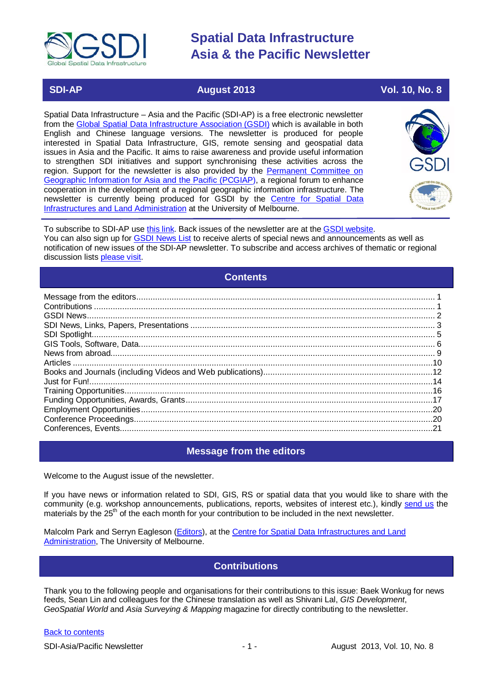

### **SDI-AP August 2013 Vol. 10, No. 8**

Spatial Data Infrastructure – Asia and the Pacific (SDI-AP) is a free electronic newsletter from the [Global Spatial Data Infrastructure Association \(GSDI\)](http://www.gsdi.org/) which is available in both English and Chinese language versions. The newsletter is produced for people interested in Spatial Data Infrastructure, GIS, remote sensing and geospatial data issues in Asia and the Pacific. It aims to raise awareness and provide useful information to strengthen SDI initiatives and support synchronising these activities across the region. Support for the newsletter is also provided by the Permanent Committee on [Geographic Information for Asia and the Pacific \(PCGIAP\)](http://www.pcgiap.org/), a regional forum to enhance cooperation in the development of a regional geographic information infrastructure. The newsletter is currently being produced for GSDI by the [Centre for Spatial Data](http://www.csdila.unimelb.edu.au/)  [Infrastructures and Land Administration](http://www.csdila.unimelb.edu.au/) at the University of Melbourne.



To subscribe to SDI-AP use [this link.](http://www.gsdi.org/newslist/gsdisubscribe.asp) Back issues of the newsletter are at the [GSDI website.](http://www.gsdi.org/newsletters.asp) You can also sign up for [GSDI News List](http://www.gsdi.org/newslist/gsdisubscribe.asp) to receive alerts of special news and announcements as well as notification of new issues of the SDI-AP newsletter. To subscribe and access archives of thematic or regional discussion lists [please visit.](http://www.gsdi.org/discussionlists.asp)

### **Contents**

<span id="page-0-0"></span>

### **Message from the editors**

<span id="page-0-1"></span>Welcome to the August issue of the newsletter.

If you have news or information related to SDI, GIS, RS or spatial data that you would like to share with the community (e.g. workshop announcements, publications, reports, websites of interest etc.), kindly [send us](mailto:.SDI-AP@gsdi.org) the materials by the 25<sup>th</sup> of the each month for your contribution to be included in the next newsletter.

<span id="page-0-2"></span>Malcolm Park and Serryn Eagleson [\(Editors\)](mailto:Editor.SDIAP@gmail.com), at the [Centre for Spatial Data Infrastructures and Land](http://www.csdila.unimelb.edu.au/)  [Administration,](http://www.csdila.unimelb.edu.au/) The University of Melbourne.

### **Contributions**

Thank you to the following people and organisations for their contributions to this issue: Baek Wonkug for news feeds, Sean Lin and colleagues for the Chinese translation as well as Shivani Lal, *GIS Development*, *GeoSpatial World* and *Asia Surveying & Mapping* magazine for directly contributing to the newsletter.

### [Back to contents](#page-0-0)

SDI-Asia/Pacific Newsletter 1992 - 1 - 1 - August 2013, Vol. 10, No. 8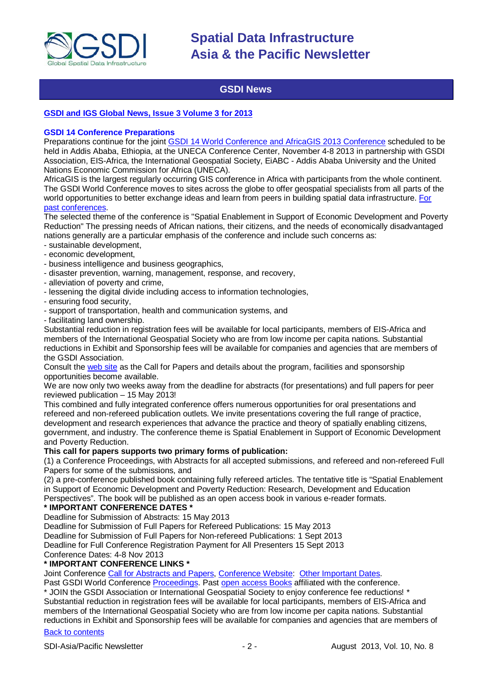

### **GSDI News**

### <span id="page-1-0"></span>**[GSDI and IGS Global News, Issue 3 Volume 3 for 2013](http://www.gsdi.org/newsletters#GSDI)**

### **GSDI 14 Conference Preparations**

Preparations continue for the joint [GSDI 14 World Conference and AfricaGIS 2013 Conference](http://www.gsdi.org/gsdi14) scheduled to be held in Addis Ababa, Ethiopia, at the UNECA Conference Center, November 4-8 2013 in partnership with GSDI Association, EIS-Africa, the International Geospatial Society, EiABC - Addis Ababa University and the United Nations Economic Commission for Africa (UNECA).

AfricaGIS is the largest regularly occurring GIS conference in Africa with participants from the whole continent. The GSDI World Conference moves to sites across the globe to offer geospatial specialists from all parts of the world opportunities to better exchange ideas and learn from peers in building spatial data infrastructure. [For](http://www.gsdi.org/gsdiConferences)  [past conferences.](http://www.gsdi.org/gsdiConferences)

The selected theme of the conference is "Spatial Enablement in Support of Economic Development and Poverty Reduction" The pressing needs of African nations, their citizens, and the needs of economically disadvantaged nations generally are a particular emphasis of the conference and include such concerns as:

- sustainable development,
- economic development,
- business intelligence and business geographics,
- disaster prevention, warning, management, response, and recovery,
- alleviation of poverty and crime,
- lessening the digital divide including access to information technologies,
- ensuring food security,
- support of transportation, health and communication systems, and
- facilitating land ownership.

Substantial reduction in registration fees will be available for local participants, members of EIS-Africa and members of the International Geospatial Society who are from low income per capita nations. Substantial reductions in Exhibit and Sponsorship fees will be available for companies and agencies that are members of the GSDI Association.

Consult the [web site](http://gsdi.org/gsdi14) as the Call for Papers and details about the program, facilities and sponsorship opportunities become available.

We are now only two weeks away from the deadline for abstracts (for presentations) and full papers for peer reviewed publication – 15 May 2013!

This combined and fully integrated conference offers numerous opportunities for oral presentations and refereed and non-refereed publication outlets. We invite presentations covering the full range of practice, development and research experiences that advance the practice and theory of spatially enabling citizens, government, and industry. The conference theme is Spatial Enablement in Support of Economic Development and Poverty Reduction.

### **This call for papers supports two primary forms of publication:**

(1) a Conference Proceedings, with Abstracts for all accepted submissions, and refereed and non-refereed Full Papers for some of the submissions, and

(2) a pre-conference published book containing fully refereed articles. The tentative title is "Spatial Enablement in Support of Economic Development and Poverty Reduction: Research, Development and Education Perspectives". The book will be published as an open access book in various e-reader formats.

### **\* IMPORTANT CONFERENCE DATES \***

Deadline for Submission of Abstracts: 15 May 2013

Deadline for Submission of Full Papers for Refereed Publications: 15 May 2013

Deadline for Submission of Full Papers for Non-refereed Publications: 1 Sept 2013

Deadline for Full Conference Registration Payment for All Presenters 15 Sept 2013

Conference Dates: 4-8 Nov 2013

### **\* IMPORTANT CONFERENCE LINKS \***

Joint Conference [Call for Abstracts and Papers,](http://www.gsdi.org/gsdiconf/gsdi14/papercall.html) [Conference Website:](http://www.gsdi.org/gsdi14) [Other Important Dates.](http://www.gsdi.org/gsdiconf/gsdi14/dates.html)

Past GSDI World Conference [Proceedings.](http://www.gsdi.org/gsdiConferences) Past [open access Books](http://www.gsdi.org/openaccessbooks) affiliated with the conference.

\* JOIN the GSDI Association or International Geospatial Society to enjoy conference fee reductions! \* Substantial reduction in registration fees will be available for local participants, members of EIS-Africa and members of the International Geospatial Society who are from low income per capita nations. Substantial reductions in Exhibit and Sponsorship fees will be available for companies and agencies that are members of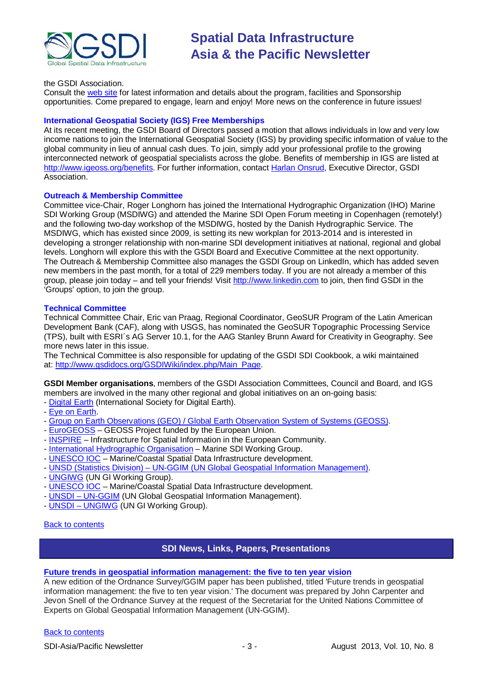

#### the GSDI Association.

Consult the [web site](http://gsdi.org/gsdi14/) for latest information and details about the program, facilities and Sponsorship opportunities. Come prepared to engage, learn and enjoy! More news on the conference in future issues!

### **International Geospatial Society (IGS) Free Memberships**

At its recent meeting, the GSDI Board of Directors passed a motion that allows individuals in low and very low income nations to join the International Geospatial Society (IGS) by providing specific information of value to the global community in lieu of annual cash dues. To join, simply add your professional profile to the growing interconnected network of geospatial specialists across the globe. Benefits of membership in IGS are listed at [http://www.igeoss.org/benefits.](https://owa.unimelb.edu.au/owa/redir.aspx?C=54c2b4d3973d480282dc7c38384f4204&URL=http%3a%2f%2fwww.igeoss.org%2fbenefits) For further information, contact [Harlan Onsrud,](mailto:onsrud@gsdi.org) Executive Director, GSDI Association.

### **Outreach & Membership Committee**

Committee vice-Chair, Roger Longhorn has joined the International Hydrographic Organization (IHO) Marine SDI Working Group (MSDIWG) and attended the Marine SDI Open Forum meeting in Copenhagen (remotely!) and the following two-day workshop of the MSDIWG, hosted by the Danish Hydrographic Service. The MSDIWG, which has existed since 2009, is setting its new workplan for 2013-2014 and is interested in developing a stronger relationship with non-marine SDI development initiatives at national, regional and global levels. Longhorn will explore this with the GSDI Board and Executive Committee at the next opportunity. The Outreach & Membership Committee also manages the GSDI Group on LinkedIn, which has added seven new members in the past month, for a total of 229 members today. If you are not already a member of this group, please join today – and tell your friends! Visit [http://www.linkedin.com](https://owa.unimelb.edu.au/owa/redir.aspx?C=rDg2dzQe3UKfwin28aspI4dcf2EJ4c8IKc_jDEPg91nlCdVQBzUX28or6ioXGu07OXWheK19Jyk.&URL=http%3a%2f%2fwww.linkedin.com) to join, then find GSDI in the 'Groups' option, to join the group.

### **Technical Committee**

Technical Committee Chair, Eric van Praag, Regional Coordinator, GeoSUR Program of the Latin American Development Bank (CAF), along with USGS, has nominated the GeoSUR Topographic Processing Service (TPS), built with ESRI´s AG Server 10.1, for the AAG Stanley Brunn Award for Creativity in Geography. See more news later in this issue.

The Technical Committee is also responsible for updating of the GSDI SDI Cookbook, a wiki maintained at: [http://www.gsdidocs.org/GSDIWiki/index.php/Main\\_Page.](https://owa.unimelb.edu.au/owa/redir.aspx?C=rDg2dzQe3UKfwin28aspI4dcf2EJ4c8IKc_jDEPg91nlCdVQBzUX28or6ioXGu07OXWheK19Jyk.&URL=http%3a%2f%2fwww.gsdidocs.org%2fGSDIWiki%2findex.php%2fMain_Page)

**GSDI Member organisations**, members of the GSDI Association Committees, Council and Board, and IGS members are involved in the many other regional and global initiatives on an on-going basis:

- [Digital Earth](http://www.digitalearth-isde.org/) (International Society for Digital Earth).
- [Eye on Earth.](http://www.eyeonearth.org/)
- [Group on Earth Observations \(GEO\) / Global Earth Observation System of Systems \(GEOSS\).](http://www.earthobservations.org/)
- [EuroGEOSS](http://www.eurogeoss.eu/default.aspx) GEOSS Project funded by the European Union.
- [INSPIRE](http://www.inspire.jrc.ec.europa.eu/) Infrastructure for Spatial Information in the European Community.
- [International Hydrographic Organisation](http://www.iho.int/) Marine SDI Working Group.
- [UNESCO IOC](http://www.iode.org/) Marine/Coastal Spatial Data Infrastructure development.
- UNSD (Statistics Division) [UN-GGIM \(UN Global Geospatial Information Management\).](http://www.ggim.un.org/)
- [UNGIWG](http://www.ungiwg.org/) (UN GI Working Group).
- [UNESCO IOC](http://www.iode.org/) Marine/Coastal Spatial Data Infrastructure development.
- UNSDI [UN-GGIM](http://www.ggim.un.org/) (UN Global Geospatial Information Management).
- UNSDI [UNGIWG](http://www.ungiwg.org/) (UN GI Working Group).

### <span id="page-2-0"></span>[Back to contents](#page-0-0)

### **SDI News, Links, Papers, Presentations**

### **[Future trends in geospatial information management: the five to ten year vision](http://ggim.un.org/docs/meetings/3rd%20UNCE/UN-GGIM-Future-trends.pdf)**

A new edition of the Ordnance Survey/GGIM paper has been published, titled 'Future trends in geospatial information management: the five to ten year vision.' The document was prepared by John Carpenter and Jevon Snell of the Ordnance Survey at the request of the Secretariat for the United Nations Committee of Experts on Global Geospatial Information Management (UN-GGIM).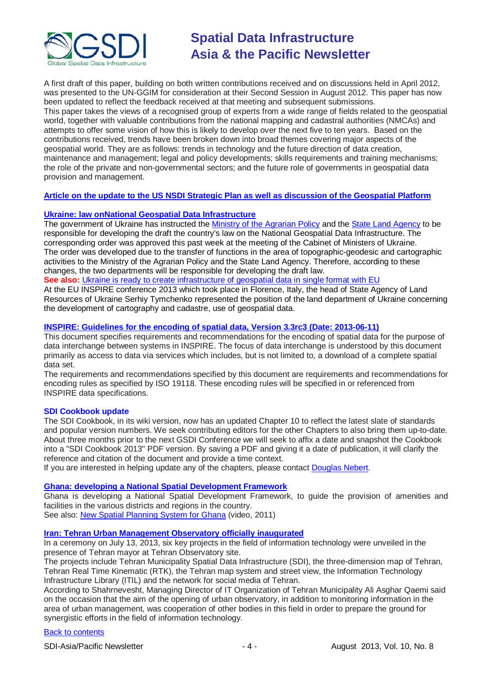

A first draft of this paper, building on both written contributions received and on discussions held in April 2012, was presented to the UN-GGIM for consideration at their Second Session in August 2012. This paper has now been updated to reflect the feedback received at that meeting and subsequent submissions. This paper takes the views of a recognised group of experts from a wide range of fields related to the geospatial world, together with valuable contributions from the national mapping and cadastral authorities (NMCAs) and attempts to offer some vision of how this is likely to develop over the next five to ten years. Based on the contributions received, trends have been broken down into broad themes covering major aspects of the geospatial world. They are as follows: trends in technology and the future direction of data creation, maintenance and management; legal and policy developments; skills requirements and training mechanisms; the role of the private and non-governmental sectors; and the future role of governments in geospatial data provision and management.

### **[Article on the update to the US NSDI Strategic Plan as well as discussion of the Geospatial Platform](http://digital.onthefrontlines.net/i/141677)**

### **[Ukraine: law onNational Geospatial Data Infrastructure](http://uga-port.org.ua/en/news/ukraine/ministry-agrarian-policy-and-state-land-agency-will-be-responsible-law-national-geospat)**

The government of Ukraine has instructed the [Ministry of the Agrarian Policy](http://minagro.gov.ua/en) and th[e State Land Agency](http://www.dazru.gov.ua/terra/control/en/index) to be responsible for developing the draft the country's law on the National Geospatial Data Infrastructure. The corresponding order was approved this past week at the meeting of the Cabinet of Ministers of Ukraine. The order was developed due to the transfer of functions in the area of topographic-geodesic and cartographic activities to the Ministry of the Agrarian Policy and the State Land Agency. Therefore, according to these changes, the two departments will be responsible for developing the draft law.

See also: [Ukraine is ready to create infrastructure of geospatial data in single format with EU](http://www.kmu.gov.ua/control/en/publish/article?art_id=246483931&cat_id=244314975)

At the EU INSPIRE conference 2013 which took place in Florence, Italy, the head of State Agency of Land Resources of Ukraine Serhiy Tymchenko represented the position of the land department of Ukraine concerning the development of cartography and cadastre, use of geospatial data.

### **[INSPIRE: Guidelines for the encoding of spatial data, Version 3.3rc3 \(Date: 2013-06-11\)](http://inspire.jrc.ec.europa.eu/documents/Data_Specifications/D2.7_v3.3rc3.pdf)**

This document specifies requirements and recommendations for the encoding of spatial data for the purpose of data interchange between systems in INSPIRE. The focus of data interchange is understood by this document primarily as access to data via services which includes, but is not limited to, a download of a complete spatial data set.

The requirements and recommendations specified by this document are requirements and recommendations for encoding rules as specified by ISO 19118. These encoding rules will be specified in or referenced from INSPIRE data specifications.

### **SDI Cookbook update**

The SDI Cookbook, in its wiki version, now has an updated Chapter 10 to reflect the latest slate of standards and popular version numbers. We seek contributing editors for the other Chapters to also bring them up-to-date. About three months prior to the next GSDI Conference we will seek to affix a date and snapshot the Cookbook into a "SDI Cookbook 2013" PDF version. By saving a PDF and giving it a date of publication, it will clarify the reference and citation of the document and provide a time context.

If you are interested in helping update any of the chapters, please contact [Douglas Nebert.](mailto:ddnebert@usgs.gov)

### **Ghana: [developing a National Spatial Development Framework](http://www.ghana.gov.gh/index.php/2012-02-08-08-32-47/general-news/1953-ghana-is-developing-national-spatial-planning-framework)**

Ghana is developing a National Spatial Development Framework, to guide the provision of amenities and facilities in the various districts and regions in the country. See also: [New Spatial Planning System for Ghana](http://www.youtube.com/watch?v=aoWg55XM-hU) (video, 2011)

### **[Iran: Tehran Urban Management Observatory officially inaugurated](http://en.tehran.ir/default.aspx?tabid=77&ArticleId=1372)**

In a ceremony on July 13, 2013, six key projects in the field of information technology were unveiled in the presence of Tehran mayor at Tehran Observatory site.

The projects include Tehran Municipality Spatial Data Infrastructure (SDI), the three-dimension map of Tehran, Tehran Real Time Kinematic (RTK), the Tehran map system and street view, the Information Technology Infrastructure Library (ITIL) and the network for social media of Tehran.

According to Shahrnevesht, Managing Director of IT Organization of Tehran Municipality Ali Asghar Qaemi said on the occasion that the aim of the opening of urban observatory, in addition to monitoring information in the area of urban management, was cooperation of other bodies in this field in order to prepare the ground for synergistic efforts in the field of information technology.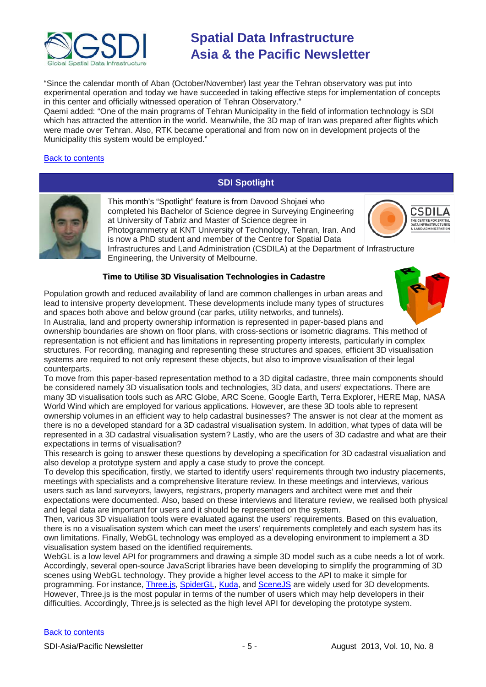

"Since the calendar month of Aban (October/November) last year the Tehran observatory was put into experimental operation and today we have succeeded in taking effective steps for implementation of concepts in this center and officially witnessed operation of Tehran Observatory."

Qaemi added: "One of the main programs of Tehran Municipality in the field of information technology is SDI which has attracted the attention in the world. Meanwhile, the 3D map of Iran was prepared after flights which were made over Tehran. Also, RTK became operational and from now on in development projects of the Municipality this system would be employed."

### [Back to contents](#page-0-0)

### **SDI Spotlight**

<span id="page-4-0"></span>

This month's "Spotlight" feature is from Davood Shojaei who completed his Bachelor of Science degree in Surveying Engineering at University of Tabriz and Master of Science degree in Photogrammetry at [KNT University of Technology,](http://www.kntu.ac.ir/) Tehran, Iran. And is now a PhD student and member of the Centre for Spatial Data



Infrastructures and Land Administration (CSDILA) at the Department of Infrastructure Engineering, [the University of Melbourne.](http://www.unimelb.edu.au/)

### **Time to Utilise 3D Visualisation Technologies in Cadastre**

Population growth and reduced availability of land are common challenges in urban areas and lead to intensive property development. These developments include many types of structures and spaces both above and below ground (car parks, utility networks, and tunnels).

In Australia, land and property ownership information is represented in paper-based plans and ownership boundaries are shown on floor plans, with cross-sections or isometric diagrams. This method of representation is not efficient and has limitations in representing property interests, particularly in complex structures. For recording, managing and representing these structures and spaces, efficient 3D visualisation systems are required to not only represent these objects, but also to improve visualisation of their legal counterparts.

To move from this paper-based representation method to a 3D digital cadastre, three main components should be considered namely 3D visualisation tools and technologies, 3D data, and users' expectations. There are many 3D visualisation tools such as ARC Globe, ARC Scene, Google Earth, Terra Explorer, HERE Map, NASA World Wind which are employed for various applications. However, are these 3D tools able to represent ownership volumes in an efficient way to help cadastral businesses? The answer is not clear at the moment as there is no a developed standard for a 3D cadastral visualisation system. In addition, what types of data will be represented in a 3D cadastral visualisation system? Lastly, who are the users of 3D cadastre and what are their expectations in terms of visualisation?

This research is going to answer these questions by developing a specification for 3D cadastral visualiation and also develop a prototype system and apply a case study to prove the concept.

To develop this specification, firstly, we started to identify users' requirements through two industry placements, meetings with specialists and a comprehensive literature review. In these meetings and interviews, various users such as land surveyors, lawyers, registrars, property managers and architect were met and their expectations were documented. Also, based on these interviews and literature review, we realised both physical and legal data are important for users and it should be represented on the system.

Then, various 3D visualiation tools were evaluated against the users' requirements. Based on this evaluation, there is no a visualisation system which can meet the users' requirements completely and each system has its own limitations. Finally, WebGL technology was employed as a developing environment to implement a 3D visualisation system based on the identified requirements.

WebGL is a low level API for programmers and drawing a simple 3D model such as a cube needs a lot of work. Accordingly, several open-source JavaScript libraries have been developing to simplify the programming of 3D scenes using WebGL technology. They provide a higher level access to the API to make it simple for programming. For instance, [Three.js,](http://threejs.org/) [SpiderGL,](http://spidergl.org/) [Kuda,](https://code.google.com/p/kuda/) and [SceneJS](http://scenejs.org/) are widely used for 3D developments. However, Three.js is the most popular in terms of the number of users which may help developers in their difficulties. Accordingly, Three.js is selected as the high level API for developing the prototype system.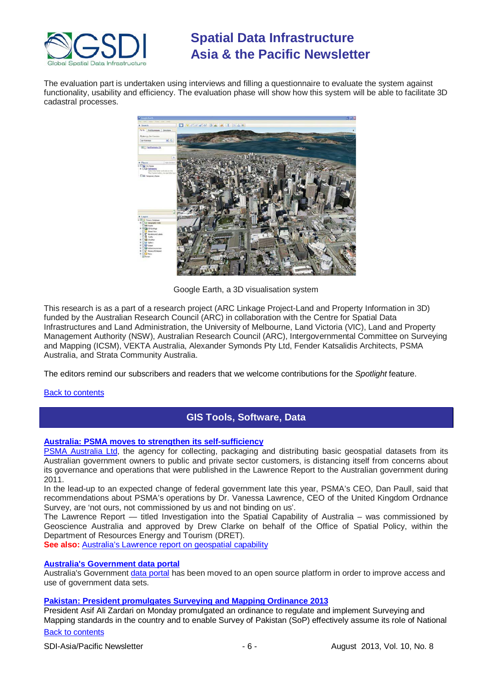

The evaluation part is undertaken using interviews and filling a questionnaire to evaluate the system against functionality, usability and efficiency. The evaluation phase will show how this system will be able to facilitate 3D cadastral processes.



Google Earth, a 3D visualisation system

This research is as a part of a research project (ARC Linkage Project-Land and Property Information in 3D) funded by the Australian Research Council (ARC) in collaboration with the Centre for Spatial Data Infrastructures and Land Administration, the University of Melbourne, Land Victoria (VIC), Land and Property Management Authority (NSW), Australian Research Council (ARC), Intergovernmental Committee on Surveying and Mapping (ICSM), VEKTA Australia, Alexander Symonds Pty Ltd, Fender Katsalidis Architects, PSMA Australia, and Strata Community Australia.

The editors remind our subscribers and readers that we welcome contributions for the *Spotlight* feature.

### <span id="page-5-0"></span>[Back to contents](#page-0-0)

### **GIS Tools, Software, Data**

### **[Australia: PSMA moves to strengthen its self-sufficiency](http://virtualanz.net/psma-moves-to-strengthen-its-self-sufficiency/)**

[PSMA Australia Ltd,](http://www.psma.com.au/) the agency for collecting, packaging and distributing basic geospatial datasets from its Australian government owners to public and private sector customers, is distancing itself from concerns about its governance and operations that were published in the Lawrence Report to the Australian government during 2011.

In the lead-up to an expected change of federal government late this year, PSMA's CEO, Dan Paull, said that recommendations about PSMA's operations by Dr. Vanessa Lawrence, CEO of the United Kingdom Ordnance Survey, are 'not ours, not commissioned by us and not binding on us'.

The Lawrence Report — titled Investigation into the Spatial Capability of Australia – was commissioned by Geoscience Australia and approved by Drew Clarke on behalf of the Office of Spatial Policy, within the Department of Resources Energy and Tourism (DRET).

**See also:** [Australia's Lawrence report on geospatial capability](http://virtualanz.net/delayed-report-stronger-leadership-needed-for-australias-geospatial-industry/)

### **[Australia's Government data portal](http://www.itnews.com.au/News/350392,government-data-portal-launches-on-new-platform.aspx?)**

Australia's Government [data portal](http://www.data.gov.au/) has been moved to an open source platform in order to improve access and use of government data sets.

### **[Pakistan: President promulgates Surveying and Mapping Ordinance 2013](http://www.app.com.pk/en_/index.php?option=com_content&task=view&id=235582&Itemid=2)**

President Asif Ali Zardari on Monday promulgated an ordinance to regulate and implement Surveying and Mapping standards in the country and to enable Survey of Pakistan (SoP) effectively assume its role of National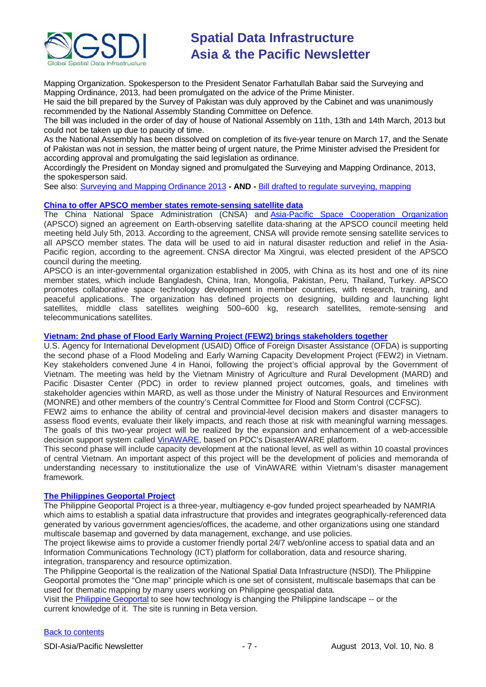

Mapping Organization. Spokesperson to the President Senator Farhatullah Babar said the Surveying and Mapping Ordinance, 2013, had been promulgated on the advice of the Prime Minister.

He said the bill prepared by the Survey of Pakistan was duly approved by the Cabinet and was unanimously recommended by the National Assembly Standing Committee on Defence.

The bill was included in the order of day of house of National Assembly on 11th, 13th and 14th March, 2013 but could not be taken up due to paucity of time.

As the National Assembly has been dissolved on completion of its five-year tenure on March 17, and the Senate of Pakistan was not in session, the matter being of urgent nature, the Prime Minister advised the President for according approval and promulgating the said legislation as ordinance.

Accordingly the President on Monday signed and promulgated the Surveying and Mapping Ordinance, 2013, the spokesperson said.

See also: [Surveying and Mapping Ordinance 2013](http://www.app.com.pk/en_/index.php?option=com_content&task=view&id=241181&Itemid=2) **- AND -** [Bill drafted to regulate surveying, mapping](http://lists.gsdi.org/pipermail/sdi-asiapacific/2013-March/000955.html)

### **[China to offer APSCO member states remote-sensing satellite data](http://english.cri.cn/6909/2013/07/05/2702s774188.htm)**

The China National Space Administration (CNSA) and [Asia-Pacific Space Cooperation Organization](http://www.apsco.int/) (APSCO) signed an agreement on Earth-observing satellite data-sharing at the APSCO council meeting held meeting held July 5th, 2013. According to the agreement, CNSA will provide remote sensing satellite services to all APSCO member states. The data will be used to aid in natural disaster reduction and relief in the Asia-Pacific region, according to the agreement. CNSA director Ma Xingrui, was elected president of the APSCO council during the meeting.

APSCO is an inter-governmental organization established in 2005, with China as its host and one of its nine member states, which include Bangladesh, China, Iran, Mongolia, Pakistan, Peru, Thailand, Turkey. APSCO promotes collaborative space technology development in member countries, with research, training, and peaceful applications. The organization has defined projects on designing, building and launching light satellites, middle class satellites weighing 500–600 kg, research satellites, remote-sensing and telecommunications satellites.

**[Vietnam: 2nd phase of Flood Early Warning Project \(FEW2\) brings stakeholders together](http://www.pdc.org/news-n-media/pdc-updates/Vietnam_Flood_Early_Warning_Project_Phase_2_Brings_Stakeholders_Together/)**

U.S. Agency for International Development (USAID) Office of Foreign Disaster Assistance (OFDA) is supporting the second phase of a Flood Modeling and Early Warning Capacity Development Project (FEW2) in Vietnam. Key stakeholders convened June 4 in Hanoi, following the project's official approval by the Government of Vietnam. The meeting was held by the Vietnam Ministry of Agriculture and Rural Development (MARD) and Pacific Disaster Center (PDC) in order to review planned project outcomes, goals, and timelines with stakeholder agencies within MARD, as well as those under the Ministry of Natural Resources and Environment (MONRE) and other members of the country's Central Committee for Flood and Storm Control (CCFSC).

FEW2 aims to enhance the ability of central and provincial-level decision makers and disaster managers to assess flood events, evaluate their likely impacts, and reach those at risk with meaningful warning messages. The goals of this two-year project will be realized by the expansion and enhancement of a web-accessible decision support system called [VinAWARE,](http://vinaware.pdc.org/vinaware/) based on PDC's DisasterAWARE platform.

This second phase will include capacity development at the national level, as well as within 10 coastal provinces of central Vietnam. An important aspect of this project will be the development of policies and memoranda of understanding necessary to institutionalize the use of VinAWARE within Vietnam's disaster management framework.

### **[The Philippines Geoportal Project](http://geoportal.gov.ph/home/aboutus.html)**

The Philippine Geoportal Project is a three-year, multiagency e-gov funded project spearheaded by NAMRIA which aims to establish a spatial data infrastructure that provides and integrates geographically-referenced data generated by various government agencies/offices, the academe, and other organizations using one standard multiscale basemap and governed by data management, exchange, and use policies.

The project likewise aims to provide a customer friendly portal 24/7 web/online access to spatial data and an Information Communications Technology (ICT) platform for collaboration, data and resource sharing, integration, transparency and resource optimization.

The Philippine Geoportal is the realization of the National Spatial Data Infrastructure (NSDI). The Philippine Geoportal promotes the "One map" principle which is one set of consistent, multiscale basemaps that can be used for thematic mapping by many users working on Philippine geospatial data.

Visit the [Philippine Geoportal](http://www.geoportal.gov.ph/) to see how technology is changing the Philippine landscape -- or the current knowledge of it. The site is running in Beta version.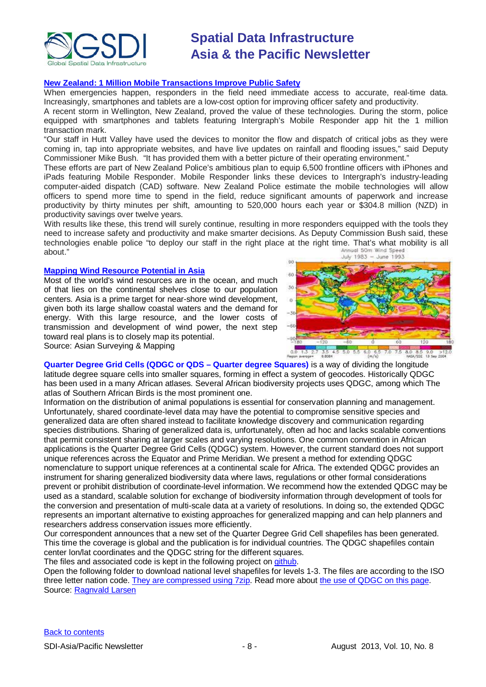

### **[New Zealand: 1 Million Mobile Transactions Improve Public Safety](http://www.intergraphblogs.com/connect/2013/06/1-million-mobile-transactions-improve-public-safety-in-new-zealand/)**

When emergencies happen, responders in the field need immediate access to accurate, real-time data. Increasingly, smartphones and tablets are a low-cost option for improving officer safety and productivity.

A recent storm in Wellington, New Zealand, proved the value of these technologies. During the storm, police equipped with smartphones and tablets featuring Intergraph's Mobile Responder app hit the 1 million transaction mark.

"Our staff in Hutt Valley have used the devices to monitor the flow and dispatch of critical jobs as they were coming in, tap into appropriate websites, and have live updates on rainfall and flooding issues," said Deputy Commissioner Mike Bush. "It has provided them with a better picture of their operating environment."

These efforts are part of New Zealand Police's ambitious plan to equip 6,500 frontline officers with iPhones and iPads featuring Mobile Responder. Mobile Responder links these devices to Intergraph's industry-leading computer-aided dispatch (CAD) software. New Zealand Police estimate the mobile technologies will allow officers to spend more time to spend in the field, reduce significant amounts of paperwork and increase productivity by thirty minutes per shift, amounting to 520,000 hours each year or \$304.8 million (NZD) in productivity savings over twelve years.

With results like these, this trend will surely continue, resulting in more responders equipped with the tools they need to increase safety and productivity and make smarter decisions. As Deputy Commission Bush said, these technologies enable police "to deploy our staff in the right place at the right time. That's what mobility is all about."

### **[Mapping Wind Resource Potential in Asia](http://www.asmmag.com/2012-12-30-14-40-18/feature/5506-mapping-wind-resource-potential-in-asia.html)**

Most of the world's wind resources are in the ocean, and much of that lies on the continental shelves close to our population centers. Asia is a prime target for near-shore wind development, given both its large shallow coastal waters and the demand for energy. With this large resource, and the lower costs of transmission and development of wind power, the next step toward real plans is to closely map its potential.

Source: Asian Surveying & Mapping



**Quarter Degree Grid Cells (QDGC or QDS – Quarter degree Squares)** is a way of dividing the longitude latitude degree square cells into smaller squares, forming in effect a system of geocodes. Historically QDGC has been used in a many African atlases. Several African biodiversity projects uses QDGC, among which The atlas of Southern African Birds is the most prominent one.

Information on the distribution of animal populations is essential for conservation planning and management. Unfortunately, shared coordinate-level data may have the potential to compromise sensitive species and generalized data are often shared instead to facilitate knowledge discovery and communication regarding species distributions. Sharing of generalized data is, unfortunately, often ad hoc and lacks scalable conventions that permit consistent sharing at larger scales and varying resolutions. One common convention in African applications is the Quarter Degree Grid Cells (QDGC) system. However, the current standard does not support unique references across the Equator and Prime Meridian. We present a method for extending QDGC nomenclature to support unique references at a continental scale for Africa. The extended QDGC provides an instrument for sharing generalized biodiversity data where laws, regulations or other formal considerations prevent or prohibit distribution of coordinate-level information. We recommend how the extended QDGC may be used as a standard, scalable solution for exchange of biodiversity information through development of tools for the conversion and presentation of multi-scale data at a variety of resolutions. In doing so, the extended QDGC represents an important alternative to existing approaches for generalized mapping and can help planners and researchers address conservation issues more efficiently.

Our correspondent announces that a new set of the Quarter Degree Grid Cell shapefiles has been generated. This time the coverage is global and the publication is for individual countries. The QDGC shapefiles contain center lon/lat coordinates and the QDGC string for the different squares.

The files and associated code is kept in the following project on [github.](https://github.com/ragnvald/qdgc/)

Open the following folder to download national level shapefiles for levels 1-3. The files are according to the ISO three letter nation code[. They are compressed using 7zip.](https://github.com/ragnvald/qdgc/tree/master/quarter_degree_grid_cells) Read more about the use of QDGC on this page. Source: [Ragnvald Larsen](mailto:ragnvald@mindland.com)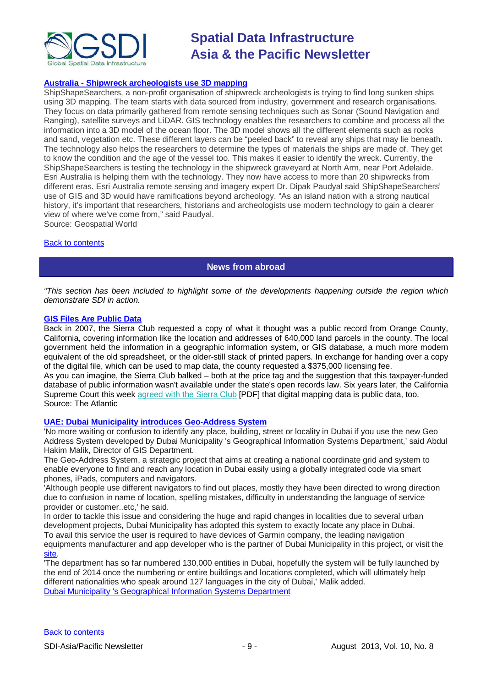

### **Australia - [Shipwreck archeologists use 3D mapping](http://geospatialworld.net/News/View.aspx?ID=27215_Article)**

ShipShapeSearchers, a non-profit organisation of shipwreck archeologists is trying to find long sunken ships using 3D mapping. The team starts with data sourced from industry, government and research organisations. They focus on data primarily gathered from remote sensing techniques such as Sonar (Sound Navigation and Ranging), satellite surveys and LiDAR. GIS technology enables the researchers to combine and process all the information into a 3D model of the ocean floor. The 3D model shows all the different elements such as rocks and sand, vegetation etc. These different layers can be "peeled back" to reveal any ships that may lie beneath. The technology also helps the researchers to determine the types of materials the ships are made of. They get to know the condition and the age of the vessel too. This makes it easier to identify the wreck. Currently, the ShipShapeSearchers is testing the technology in the shipwreck graveyard at North Arm, near Port Adelaide. Esri Australia is helping them with the technology. They now have access to more than 20 shipwrecks from different eras. Esri Australia remote sensing and imagery expert Dr. Dipak Paudyal said ShipShapeSearchers' use of GIS and 3D would have ramifications beyond archeology. "As an island nation with a strong nautical history, it's important that researchers, historians and archeologists use modern technology to gain a clearer view of where we've come from," said Paudyal.

Source: Geospatial World

### <span id="page-8-0"></span>[Back to contents](#page-0-0)

### **News from abroad**

*"This section has been included to highlight some of the developments happening outside the region which demonstrate SDI in action.*

### **[GIS Files Are Public Data](http://www.theatlanticcities.com/technology/2013/07/yes-gis-files-are-public-data-too/6159/)**

Back in 2007, the Sierra Club requested a copy of what it thought was a public record from Orange County, California, covering information like the location and addresses of 640,000 land parcels in the county. The local government held the information in a geographic information system, or GIS database, a much more modern equivalent of the old spreadsheet, or the older-still stack of printed papers. In exchange for handing over a copy of the digital file, which can be used to map data, the county requested a \$375,000 licensing fee.

As you can imagine, the Sierra Club balked – both at the price tag and the suggestion that this taxpayer-funded database of public information wasn't available under the state's open records law. Six years later, the California Supreme Court this week [agreed with the Sierra Club](http://www.courts.ca.gov/opinions/documents/S194708.PDF) [PDF] that digital mapping data is public data, too. Source: The Atlantic

### **[UAE: Dubai Municipality introduces Geo-Address System](http://www.zawya.com/story/DM_introduces_GeoAddress_System_for_Dubai-ZAWYA20130708095956/)**

'No more waiting or confusion to identify any place, building, street or locality in Dubai if you use the new Geo Address System developed by Dubai Municipality 's Geographical Information Systems Department,' said Abdul Hakim Malik, Director of GIS Department.

The Geo-Address System, a strategic project that aims at creating a national coordinate grid and system to enable everyone to find and reach any location in Dubai easily using a globally integrated code via smart phones, iPads, computers and navigators.

'Although people use different navigators to find out places, mostly they have been directed to wrong direction due to confusion in name of location, spelling mistakes, difficulty in understanding the language of service provider or customer..etc,' he said.

In order to tackle this issue and considering the huge and rapid changes in localities due to several urban development projects, Dubai Municipality has adopted this system to exactly locate any place in Dubai. To avail this service the user is required to have devices of Garmin company, the leading navigation equipments manufacturer and app developer who is the partner of Dubai Municipality in this project, or visit the [site.](http://www.mylocation.ae/)

'The department has so far numbered 130,000 entities in Dubai, hopefully the system will be fully launched by the end of 2014 once the numbering or entire buildings and locations completed, which will ultimately help different nationalities who speak around 127 languages in the city of Dubai,' Malik added. [Dubai Municipality 's Geographical Information Systems Department](http://www.dm.gov.ae/wps/portal/DepartmentHomePageEn?WCM_GLOBAL_CONTEXT=/wps/wcm/connect/dmcontenten/Home/DepartmentHomePages/16&deptid=DMDesign/16)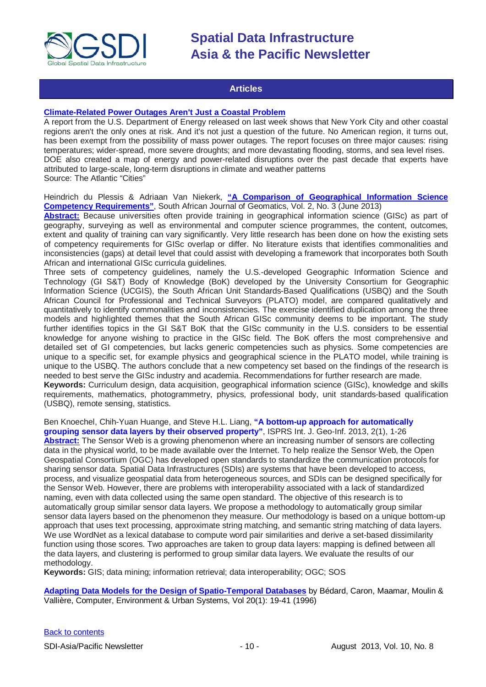

### **Articles**

### <span id="page-9-0"></span>**[Climate-Related Power Outages Aren't Just a Coastal Problem](http://www.theatlanticcities.com/technology/2013/07/climate-related-power-outages-arent-just-coastal-problem/6190/)**

A report from the U.S. Department of Energy released on last week shows that New York City and other coastal regions aren't the only ones at risk. And it's not just a question of the future. No American region, it turns out, has been exempt from the possibility of mass power outages. The report focuses on three major causes: rising temperatures; wider-spread, more severe droughts; and more devastating flooding, storms, and sea level rises. DOE also created a map of energy and power-related disruptions over the past decade that experts have attributed to large-scale, long-term disruptions in climate and weather patterns Source: The Atlantic "Cities"

Heindrich du Plessis & Adriaan Van Niekerk, **["A Comparison of Geographical Information Science](http://www.sajg.org.za/index.php/sajg/article/view/90/59)  [Competency Requirements"](http://www.sajg.org.za/index.php/sajg/article/view/90/59)**, South African Journal of Geomatics, Vol. 2, No. 3 (June 2013)

**[Abstract:](http://www.sajg.org.za/index.php/sajg/article/view/90)** Because universities often provide training in geographical information science (GISc) as part of geography, surveying as well as environmental and computer science programmes, the content, outcomes, extent and quality of training can vary significantly. Very little research has been done on how the existing sets of competency requirements for GISc overlap or differ. No literature exists that identifies commonalities and inconsistencies (gaps) at detail level that could assist with developing a framework that incorporates both South African and international GISc curricula guidelines.

Three sets of competency guidelines, namely the U.S.-developed Geographic Information Science and Technology (GI S&T) Body of Knowledge (BoK) developed by the University Consortium for Geographic Information Science (UCGIS), the South African Unit Standards-Based Qualifications (USBQ) and the South African Council for Professional and Technical Surveyors (PLATO) model, are compared qualitatively and quantitatively to identify commonalities and inconsistencies. The exercise identified duplication among the three models and highlighted themes that the South African GISc community deems to be important. The study further identifies topics in the GI S&T BoK that the GISc community in the U.S. considers to be essential knowledge for anyone wishing to practice in the GISc field. The BoK offers the most comprehensive and detailed set of GI competencies, but lacks generic competencies such as physics. Some competencies are unique to a specific set, for example physics and geographical science in the PLATO model, while training is unique to the USBQ. The authors conclude that a new competency set based on the findings of the research is needed to best serve the GISc industry and academia. Recommendations for further research are made. **Keywords:** Curriculum design, data acquisition, geographical information science (GISc), knowledge and skills requirements, mathematics, photogrammetry, physics, professional body, unit standards-based qualification (USBQ), remote sensing, statistics.

Ben Knoechel, Chih-Yuan Huange, and Steve H.L. Liang, **"A bottom-up approach for automatically grouping sensor data layers by their observed property"**, ISPRS Int. J. Geo-Inf. 2013, 2(1), 1-26 **[Abstract:](http://www.mdpi.com/2220-9964/2/1/1)** The Sensor Web is a growing phenomenon where an increasing number of sensors are collecting data in the physical world, to be made available over the Internet. To help realize the Sensor Web, the Open Geospatial Consortium (OGC) has developed open standards to standardize the communication protocols for sharing sensor data. Spatial Data Infrastructures (SDIs) are systems that have been developed to access, process, and visualize geospatial data from heterogeneous sources, and SDIs can be designed specifically for the Sensor Web. However, there are problems with interoperability associated with a lack of standardized naming, even with data collected using the same open standard. The objective of this research is to automatically group similar sensor data layers. We propose a methodology to automatically group similar sensor data layers based on the phenomenon they measure. Our methodology is based on a unique bottom-up approach that uses text processing, approximate string matching, and semantic string matching of data layers. We use WordNet as a lexical database to compute word pair similarities and derive a set-based dissimilarity function using those scores. Two approaches are taken to group data layers: mapping is defined between all the data layers, and clustering is performed to group similar data layers. We evaluate the results of our methodology.

**Keywords:** GIS; data mining; information retrieval; data interoperability; OGC; SOS

**[Adapting Data Models for the Design of Spatio-Temporal Databases](http://www.academia.edu/4053833/Adapting_data_models_for_the_design_of_spatio-temporal_databases)** by Bédard, Caron, Maamar, Moulin & Vallière, Computer, Environment & Urban Systems, Vol 20(1): 19-41 (1996)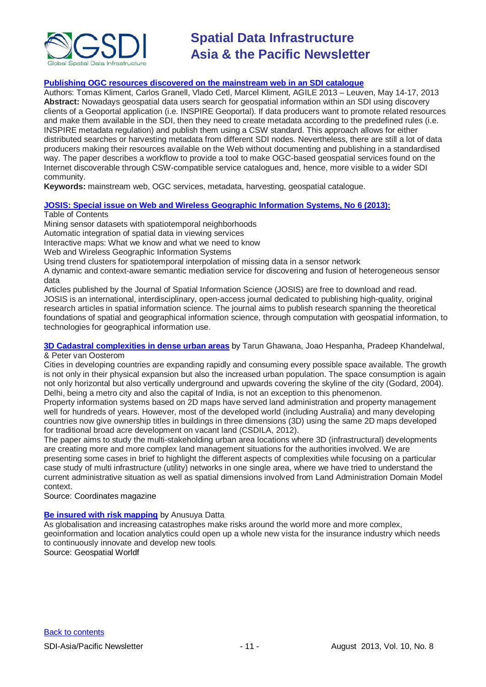

### **[Publishing OGC resources discovered on the mainstream web in an SDI catalogue](http://agile.gis.geo.tu-dresden.de/web/Conference_Paper/CDs/AGILE%202013/Short%20Papers/SP_S5.3_Kliment.pdf)**

Authors: Tomas Kliment, Carlos Granell, Vlado Cetl, Marcel Kliment, AGILE 2013 – Leuven, May 14-17, 2013 **Abstract:** Nowadays geospatial data users search for geospatial information within an SDI using discovery clients of a Geoportal application (i.e. INSPIRE Geoportal). If data producers want to promote related resources and make them available in the SDI, then they need to create metadata according to the predefined rules (i.e. INSPIRE metadata regulation) and publish them using a CSW standard. This approach allows for either distributed searches or harvesting metadata from different SDI nodes. Nevertheless, there are still a lot of data producers making their resources available on the Web without documenting and publishing in a standardised way. The paper describes a workflow to provide a tool to make OGC-based geospatial services found on the Internet discoverable through CSW-compatible service catalogues and, hence, more visible to a wider SDI community.

**Keywords:** mainstream web, OGC services, metadata, harvesting, geospatial catalogue.

### **[JOSIS: Special issue on Web and Wireless Geographic Information Systems, No 6 \(2013\):](http://www.josis.org/index.php/josis)**

### Table of Contents

Mining sensor datasets with spatiotemporal neighborhoods

Automatic integration of spatial data in viewing services

Interactive maps: What we know and what we need to know

Web and Wireless Geographic Information Systems

Using trend clusters for spatiotemporal interpolation of missing data in a sensor network

A dynamic and context-aware semantic mediation service for discovering and fusion of heterogeneous sensor data

Articles published by the Journal of Spatial Information Science (JOSIS) are free to download and read. JOSIS is an international, interdisciplinary, open-access journal dedicated to publishing high-quality, original research articles in spatial information science. The journal aims to publish research spanning the theoretical foundations of spatial and geographical information science, through computation with geospatial information, to technologies for geographical information use.

### **[3D Cadastral complexities in dense urban areas](http://mycoordinates.org/3d-cadastral-complexities-in-dense-urban-areas/)** by Tarun Ghawana, Joao Hespanha, Pradeep Khandelwal, & Peter van Oosterom

Cities in developing countries are expanding rapidly and consuming every possible space available. The growth is not only in their physical expansion but also the increased urban population. The space consumption is again not only horizontal but also vertically underground and upwards covering the skyline of the city (Godard, 2004). Delhi, being a metro city and also the capital of India, is not an exception to this phenomenon.

Property information systems based on 2D maps have served land administration and property management well for hundreds of years. However, most of the developed world (including Australia) and many developing countries now give ownership titles in buildings in three dimensions (3D) using the same 2D maps developed for traditional broad acre development on vacant land (CSDILA, 2012).

The paper aims to study the multi-stakeholding urban area locations where 3D (infrastructural) developments are creating more and more complex land management situations for the authorities involved. We are presenting some cases in brief to highlight the different aspects of complexities while focusing on a particular case study of multi infrastructure (utility) networks in one single area, where we have tried to understand the current administrative situation as well as spatial dimensions involved from Land Administration Domain Model context.

Source: Coordinates magazine

### **[Be insured with risk mapping](http://www.geospatialworld.net/Magazine/MArticleView.aspx?aid=30600&utm_medium=email&utm_source=Act-On+Software&utm_content=email&utm_campaign=Geospatial%20World%20Weekly%20July%20%27%27%2C%20%27013&utm_term=Be%20insured%20with%20risk%20mapping)** by Anusuya Datta

As globalisation and increasing catastrophes make risks around the world more and more complex, geoinformation and location analytics could open up a whole new vista for the insurance industry which needs to continuously innovate and develop new tools. Source: Geospatial Worldf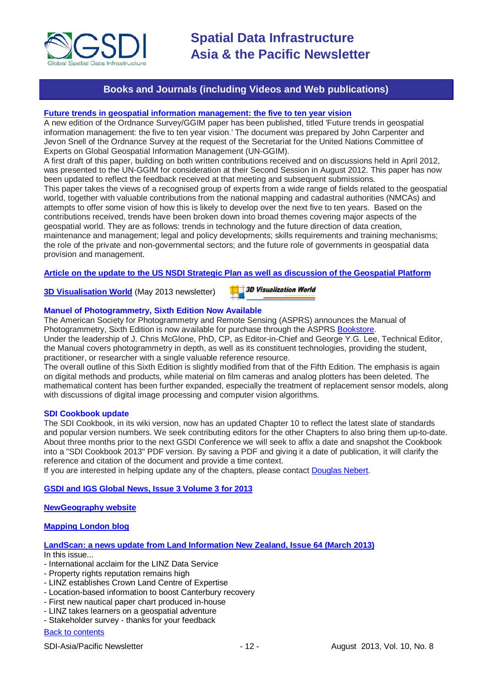

### **Books and Journals (including Videos and Web publications)**

### <span id="page-11-0"></span>**[Future trends in geospatial information management: the five to ten year vision](http://ggim.un.org/docs/meetings/3rd%20UNCE/UN-GGIM-Future-trends.pdf)**

A new edition of the Ordnance Survey/GGIM paper has been published, titled 'Future trends in geospatial information management: the five to ten year vision.' The document was prepared by John Carpenter and Jevon Snell of the Ordnance Survey at the request of the Secretariat for the United Nations Committee of Experts on Global Geospatial Information Management (UN-GGIM).

A first draft of this paper, building on both written contributions received and on discussions held in April 2012, was presented to the UN-GGIM for consideration at their Second Session in August 2012. This paper has now been updated to reflect the feedback received at that meeting and subsequent submissions.

This paper takes the views of a recognised group of experts from a wide range of fields related to the geospatial world, together with valuable contributions from the national mapping and cadastral authorities (NMCAs) and attempts to offer some vision of how this is likely to develop over the next five to ten years. Based on the contributions received, trends have been broken down into broad themes covering major aspects of the geospatial world. They are as follows: trends in technology and the future direction of data creation, maintenance and management; legal and policy developments; skills requirements and training mechanisms; the role of the private and non-governmental sectors; and the future role of governments in geospatial data provision and management.

### **[Article on the update to the US NSDI Strategic Plan as well as discussion of the Geospatial Platform](http://digital.onthefrontlines.net/i/141677)**

**[3D Visualisation World](http://visitor.benchmarkemail.com/c/v?e=2E5A3F&c=27A3B&l=42E79F4&email=20i0rPjCDuEQfH2i1glrmJemkgBQcCdv&relid=509BECB)** (May 2013 newsletter)

**3D Visualization World** 

### **Manuel of Photogrammetry, Sixth Edition Now Available**

The American Society for Photogrammetry and Remote Sensing (ASPRS) announces the Manual of Photogrammetry, Sixth Edition is now available for purchase through the ASPRS [Bookstore.](http://www.asprs.org/Publications-Other/Bookstore.html)

Under the leadership of J. Chris McGlone, PhD, CP, as Editor-in-Chief and George Y.G. Lee, Technical Editor, the Manual covers photogrammetry in depth, as well as its constituent technologies, providing the student, practitioner, or researcher with a single valuable reference resource.

The overall outline of this Sixth Edition is slightly modified from that of the Fifth Edition. The emphasis is again on digital methods and products, while material on film cameras and analog plotters has been deleted. The mathematical content has been further expanded, especially the treatment of replacement sensor models, along with discussions of digital image processing and computer vision algorithms.

### **SDI Cookbook update**

The SDI Cookbook, in its wiki version, now has an updated Chapter 10 to reflect the latest slate of standards and popular version numbers. We seek contributing editors for the other Chapters to also bring them up-to-date. About three months prior to the next GSDI Conference we will seek to affix a date and snapshot the Cookbook into a "SDI Cookbook 2013" PDF version. By saving a PDF and giving it a date of publication, it will clarify the reference and citation of the document and provide a time context.

If you are interested in helping update any of the chapters, please contact [Douglas Nebert.](mailto:ddnebert@usgs.gov)

### **[GSDI and IGS Global News, Issue 3 Volume 3 for 2013](http://www.gsdi.org/newsletters#GSDI)**

**[NewGeography website](http://www.newgeography.com/)**

### **[Mapping London blog](http://mappinglondon.co.uk/)**

### **[LandScan: a news update from Land Information New Zealand, Issue 64 \(March 2013\)](http://www.linz.govt.nz/sites/default/files/docs/supporting-info/about-linz/publications/landscan-201303.pdf)**

In this issue...

- International acclaim for the LINZ Data Service
- Property rights reputation remains high
- LINZ establishes Crown Land Centre of Expertise
- Location-based information to boost Canterbury recovery
- First new nautical paper chart produced in-house
- LINZ takes learners on a geospatial adventure
- Stakeholder survey thanks for your feedback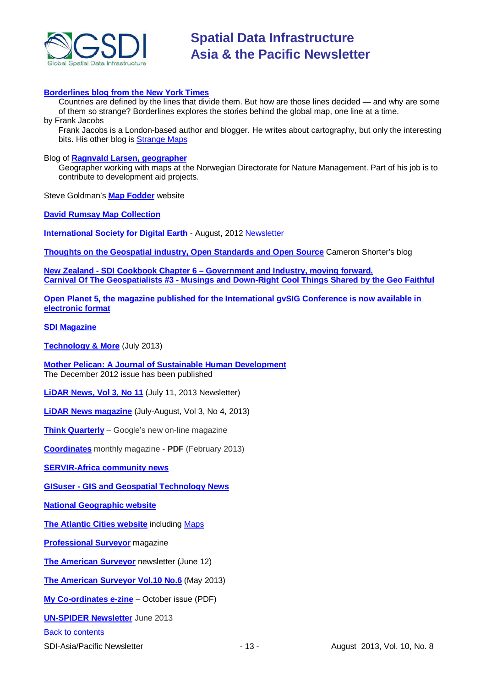

### **[Borderlines blog from the New York Times](http://opinionator.blogs.nytimes.com/category/borderlines/)**

Countries are defined by the lines that divide them. But how are those lines decided — and why are some of them so strange? Borderlines explores the stories behind the global map, one line at a time. by Frank Jacobs

Frank Jacobs is a London-based author and blogger. He writes about cartography, but only the interesting bits. His other blog is [Strange Maps](http://bigthink.com/blogs/strange-maps)

### Blog of **[Ragnvald Larsen, geographer](http://www.mindland.com/wp/)**

Geographer working with maps at the Norwegian Directorate for Nature Management. Part of his job is to contribute to development aid projects.

Steve Goldman's **[Map Fodder](http://www.mapfodder.com/index.html)** website

**[David Rumsay Map Collection](http://www.davidrumsey.com/)**

**International Society for Digital Earth** - August, 2012 [Newsletter](http://www.digitalearth-isde.org/news/isde-newsletter(201208).html)

**[Thoughts on the Geospatial industry, Open Standards and Open Source](http://cameronshorter.blogspot.com/2011/06/memoirs-of-cat-herder-coordinating.html)** Cameron Shorter's blog

**New Zealand - SDI Cookbook Chapter 6 – [Government and Industry, moving forward.](http://www.geospatial.govt.nz/sdi-cookbook-chapter-6-government-and-industry-moving-forward) Carnival Of The Geospatialists #3 - [Musings and Down-Right Cool Things Shared by the Geo Faithful](http://www.gisuser.com/content/view/25690/28/)**

**[Open Planet 5, the magazine published for the International gvSIG Conference is now available in](http://jornadas.gvsig.org/descargas/magazine)  [electronic format](http://jornadas.gvsig.org/descargas/magazine)**

**[SDI Magazine](http://www.sdimag.com/)**

**[Technology & More](http://www.trimble.com/technologyandmore/i2-2013/)** (July 2013)

**[Mother Pelican: A Journal of Sustainable Human Development](http://www.pelicanweb.org/solisustv08n12page1.html)** The December 2012 issue has been published

**[LiDAR News, Vol 3, No 11](http://www.lidarnews.com/newsletter/Vol3No11.htm)** (July 11, 2013 Newsletter)

**[LiDAR News magazine](http://lidarnews.com/emag/2013/vol3no4/index.html)** (July-August, Vol 3, No 4, 2013)

**[Think Quarterly](http://thinkquarterly.co.uk/#aboutthebook)** – Google's new on-line magazine

**[Coordinates](http://mycoordinates.org/pdf/feb13.pdf)** monthly magazine - **PDF** (February 2013)

**[SERVIR-Africa community news](http://www.servirglobal.net/africa/en/News/CommunityNews.aspx)**

**GISuser - [GIS and Geospatial Technology News](http://www.gisuser.com/)**

**[National Geographic website](http://www.nationalgeographic.com/)**

**[The Atlantic Cities website](http://www.theatlanticcities.com/)** including [Maps](http://www.theatlanticcities.com/posts/map/)

**[Professional Surveyor](http://www.profsurv.com/)** magazine

**[The American Surveyor](http://www.amerisurv.com/newsletter/12JUN2013.htm)** newsletter (June 12)

**[The American Surveyor Vol.10 No.6](http://amerisurv.com/emag/2013/vol10no6/index.html)** (May 2013)

**[My Co-ordinates e-zine](http://mycoordinates.org/pdf/oct12.pdf)** – October issue (PDF)

**[UN-SPIDER](http://www.un-spider.org/about/newsletter/un-spider-newsletter-213-earth-observation-disaster-response) Newsletter** June 2013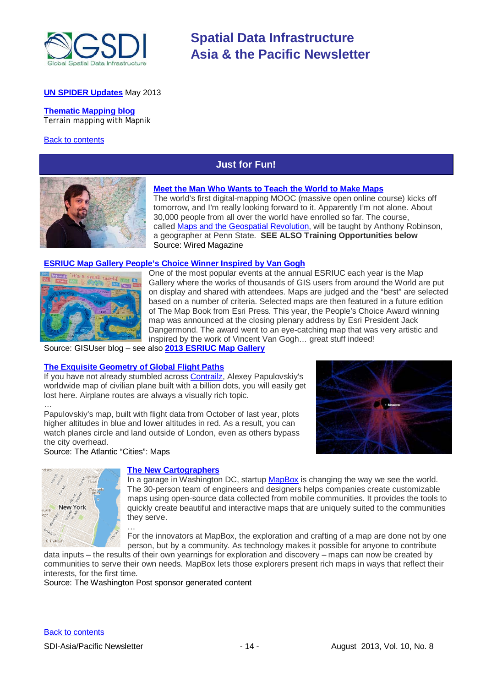

### **[UN SPIDER Updates](http://www.un-spider.org/about/updates/un-spider-updates-may-2013)** May 2013

#### **[Thematic Mapping blog](http://blog.thematicmapping.org/)** Terrain mapping with Mapnik

### <span id="page-13-0"></span>[Back to contents](#page-0-0)

### **Just for Fun!**



### **[Meet the Man Who Wants to Teach the World to Make Maps](http://www.wired.com/wiredscience/2013/07/anthony-robinson-mooc/)**

The world's first digital-mapping MOOC (massive open online course) kicks off tomorrow, and I'm really looking forward to it. Apparently I'm not alone. About 30,000 people from all over the world have enrolled so far. The course, called [Maps and the Geospatial Revolution,](https://www.coursera.org/course/maps) will be taught by Anthony Robinson, a geographer at Penn State. **SEE ALSO Training Opportunities below** Source: Wired Magazine

### **[ESRIUC Map Gallery People's Choice Winner](http://blog.gisuser.com/2013/07/15/esriuc-map-gallery-peoples-choice-winner-inspired-by-van-gogh/) Inspired by Van Gogh**



One of the most popular events at the annual ESRIUC each year is the Map Gallery where the works of thousands of GIS users from around the World are put on display and shared with attendees. Maps are judged and the "best" are selected based on a number of criteria. Selected maps are then featured in a future edition of The Map Book from Esri Press. This year, the People's Choice Award winning map was announced at the closing plenary address by Esri President Jack Dangermond. The award went to an eye-catching map that was very artistic and inspired by the work of Vincent Van Gogh… great stuff indeed!

Source: GISUser blog – see also **[2013 ESRIUC Map Gallery](http://www.flickr.com/photos/gisuser/sets/72157634658904788/)**

### **[The Exquisite Geometry of Global Flight Paths](http://www.theatlanticcities.com/arts-and-lifestyle/2013/07/exquisite-geometry-global-flight-paths/6302/)**

If you have not already stumbled across [Contrailz,](http://contrailz.com/) Alexey Papulovskiy's worldwide map of civilian plane built with a billion dots, you will easily get lost here. Airplane routes are always a visually rich topic.

… Papulovskiy's map, built with flight data from October of last year, plots higher altitudes in blue and lower altitudes in red. As a result, you can watch planes circle and land outside of London, even as others bypass the city overhead.

Source: The Atlantic "Cities": Maps





### **[The New Cartographers](http://www.washingtonpost.com/sf/brand-connect/wp/2013/07/22/the-new-cartographers/)**

In a garage in Washington DC, startup [MapBox](http://www.mapbox.com/) is changing the way we see the world. The 30-person team of engineers and designers helps companies create customizable maps using open-source data collected from mobile communities. It provides the tools to quickly create beautiful and interactive maps that are uniquely suited to the communities they serve.

… For the innovators at MapBox, the exploration and crafting of a map are done not by one person, but by a community. As technology makes it possible for anyone to contribute

data inputs – the results of their own yearnings for exploration and discovery – maps can now be created by communities to serve their own needs. MapBox lets those explorers present rich maps in ways that reflect their interests, for the first time.

Source: The Washington Post sponsor generated content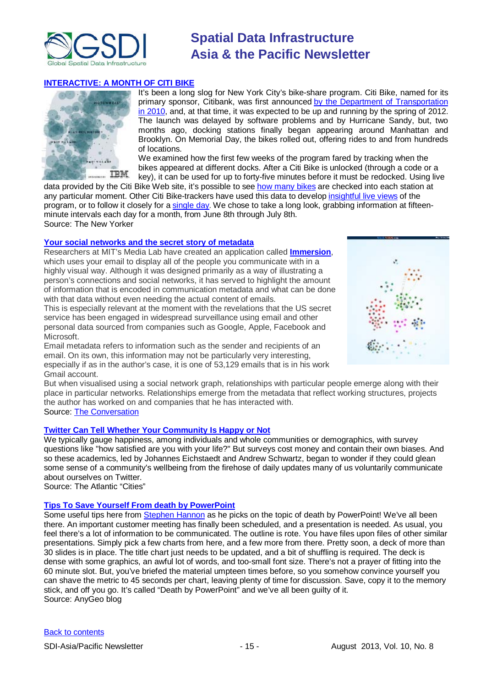

### **[INTERACTIVE: A MONTH OF CITI BIKE](http://www.newyorker.com/online/blogs/newsdesk/2013/07/month-of-citi-bike.html)**



It's been a long slog for New York City's bike-share program. Citi Bike, named for its primary sponsor, Citibank, was first announced by the Department of Transportation [in 2010,](http://www.nyc.gov/html/dot/html/pr2010/pr10_060.shtml) and, at that time, it was expected to be up and running by the spring of 2012. The launch was delayed by software problems and by Hurricane Sandy, but, two months ago, docking stations finally began appearing around Manhattan and Brooklyn. On Memorial Day, the bikes rolled out, offering rides to and from hundreds of locations.

We examined how the first few weeks of the program fared by tracking when the bikes appeared at different docks. After a Citi Bike is unlocked (through a code or a key), it can be used for up to forty-five minutes before it must be redocked. Using live

data provided by the Citi Bike Web site, it's possible to see [how many bikes](http://citibikenyc.com/stations) are checked into each station at any particular moment. Other Citi Bike-trackers have used this data to develop [insightful live views](http://strata.oreilly.com/2013/06/visualization-of-the-week-nyc-citi-bike-use-in-real-time.html) of the program, or to follow it closely for a [single day.](http://radar.oreilly.com/2013/07/interactive-maps-bike-share-new-york-washington-citibike.html#.UfA6UhgNxbc.twitter) We chose to take a long look, grabbing information at fifteenminute intervals each day for a month, from June 8th through July 8th. Source: The New Yorker

### **[Your social networks and the secret story of](http://theconversation.com/your-social-networks-and-the-secret-story-of-metadata-16119?utm_medium=email&utm_campaign=Latest%20from%20The%20Conversation%20for%2019%20July%202013&utm_content=Latest%20from%20The%20Conversation%20for%2019%20July%202013+CID_e79) metadata**

Researchers at MIT's Media Lab have created an application called **[Immersion](https://immersion.media.mit.edu/)**, which uses your email to display all of the people you communicate with in a highly visual way. Although it was designed primarily as a way of illustrating a person's connections and social networks, it has served to highlight the amount of information that is encoded in communication metadata and what can be done with that data without even needing the actual content of emails.

This is especially relevant at the moment with the revelations that the US secret service has been engaged in widespread surveillance using email and other personal data sourced from companies such as Google, Apple, Facebook and **Microsoft** 

Email metadata refers to information such as the sender and recipients of an email. On its own, this information may not be particularly very interesting, especially if as in the author's case, it is one of 53,129 emails that is in his work Gmail account.



But when visualised using a social network graph, relationships with particular people emerge along with their place in particular networks. Relationships emerge from the metadata that reflect working structures, projects the author has worked on and companies that he has interacted with. Source: [The Conversation](http://theconversation.com/au)

### **[Twitter Can Tell Whether Your Community Is Happy or Not](http://www.theatlanticcities.com/neighborhoods/2013/07/how-twitter-can-predict-your-communitys-wellbeing/6270/)**

We typically gauge happiness, among individuals and whole communities or demographics, with survey questions like "how satisfied are you with your life?" But surveys cost money and contain their own biases. And so these academics, led by Johannes Eichstaedt and Andrew Schwartz, began to wonder if they could glean some sense of a community's wellbeing from the firehose of daily updates many of us voluntarily communicate about ourselves on Twitter.

Source: The Atlantic "Cities"

### **[Tips To Save Yourself From death by PowerPoint](http://blog.gisuser.com/2013/07/24/tips-to-save-yourself-from-death-by-powerpoint/)**

Some useful tips here from [Stephen Hannon](http://www.lidarnews.com/content/view/9892/136/) as he picks on the topic of death by PowerPoint! We've all been there. An important customer meeting has finally been scheduled, and a presentation is needed. As usual, you feel there's a lot of information to be communicated. The outline is rote. You have files upon files of other similar presentations. Simply pick a few charts from here, and a few more from there. Pretty soon, a deck of more than 30 slides is in place. The title chart just needs to be updated, and a bit of shuffling is required. The deck is dense with some graphics, an awful lot of words, and too-small font size. There's not a prayer of fitting into the 60 minute slot. But, you've briefed the material umpteen times before, so you somehow convince yourself you can shave the metric to 45 seconds per chart, leaving plenty of time for discussion. Save, copy it to the memory stick, and off you go. It's called "Death by PowerPoint" and we've all been guilty of it. Source: AnyGeo blog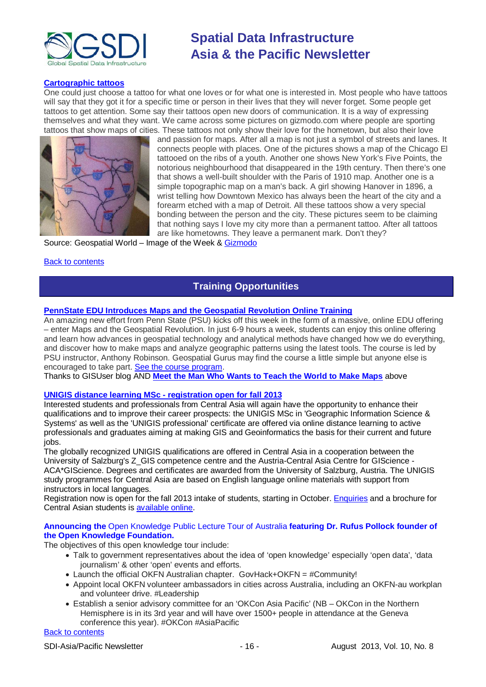

### **[Cartographic tattoos](http://www.geospatialworld.net/ImageoftheWeek/view.aspx?id=144&utm_medium=email&utm_source=Act-On+Software&utm_content=email&utm_campaign=Geospatial%20World%20Weekly%20July%20%27%27%2C%20%27013&utm_term=The%20cartographic%20tattoos)**

One could just choose a tattoo for what one loves or for what one is interested in. Most people who have tattoos will say that they got it for a specific time or person in their lives that they will never forget. Some people get tattoos to get attention. Some say their tattoos open new doors of communication. It is a way of expressing themselves and what they want. We came across some pictures on gizmodo.com where people are sporting tattoos that show maps of cities. These tattoos not only show their love for the hometown, but also their love



and passion for maps. After all a map is not just a symbol of streets and lanes. It connects people with places. One of the pictures shows a map of the Chicago El tattooed on the ribs of a youth. Another one shows New York's Five Points, the notorious neighbourhood that disappeared in the 19th century. Then there's one that shows a well-built shoulder with the Paris of 1910 map. Another one is a simple topographic map on a man's back. A girl showing Hanover in 1896, a wrist telling how Downtown Mexico has always been the heart of the city and a forearm etched with a map of Detroit. All these tattoos show a very special bonding between the person and the city. These pictures seem to be claiming that nothing says I love my city more than a permanent tattoo. After all tattoos are like hometowns. They leave a permanent mark. Don't they?

Source: Geospatial World – Image of the Week & [Gizmodo](http://gizmodo.com/11-map-tattoos-that-pay-tribute-to-cities-and-their-sys-830019049)

### <span id="page-15-0"></span>[Back to contents](#page-0-0)

## **Training Opportunities**

### **[PennState EDU Introduces Maps and the Geospatial Revolution Online Training](http://blog.gisuser.com/2013/07/16/pennstate-edu-introduces-maps-and-the-geospatial-revolution-online-training/)**

An amazing new effort from Penn State (PSU) kicks off this week in the form of a massive, online EDU offering – enter Maps and the Geospatial Revolution. In just 6-9 hours a week, students can enjoy this online offering and learn how advances in geospatial technology and analytical methods have changed how we do everything, and discover how to make maps and analyze geographic patterns using the latest tools. The course is led by PSU instructor, Anthony Robinson. Geospatial Gurus may find the course a little simple but anyone else is encouraged to take part. [See the course program.](https://www.coursera.org/course/maps)

Thanks to GISUser blog AND **[Meet the Man Who Wants to Teach the World to Make Maps](#page-13-0)** above

### **[UNIGIS distance learning MSc -](http://acagisc.blogspot.com/2013/06/unigis-distance-learning-msc.html) registration open for fall 2013**

Interested students and professionals from Central Asia will again have the opportunity to enhance their qualifications and to improve their career prospects: the UNIGIS MSc in 'Geographic Information Science & Systems' as well as the 'UNIGIS professional' certificate are offered via online distance learning to active professionals and graduates aiming at making GIS and Geoinformatics the basis for their current and future jobs.

The globally recognized UNIGIS qualifications are offered in Central Asia in a cooperation between the University of Salzburg's Z\_GIS competence centre and the Austria-Central Asia Centre for GIScience - ACA\*GIScience. Degrees and certificates are awarded from the University of Salzburg, Austria. The UNIGIS study programmes for Central Asia are based on English language online materials with support from instructors in local languages.

Registration now is open for the fall 2013 intake of students, starting in October. [Enquiries](mailto:unigis@aca-giscience.org) and a brochure for Central Asian students is [available online.](https://docs.google.com/file/d/0B1W9laE7MF3yNjZjMzM0NGItOGU1Ni00ODRkLTgwMTEtOTRjYTUxMWU5MTdi/edit?pli=1&hl=en)

### **Announcing the** Open Knowledge Public Lecture Tour of Australia **featuring Dr. Rufus Pollock founder of the Open Knowledge Foundation.**

The objectives of this open knowledge tour include:

- Talk to government representatives about the idea of 'open knowledge' especially 'open data', 'data journalism' & other 'open' events and efforts.
- Launch the official OKFN Australian chapter. GovHack+OKFN =  $\#$ Community!
- Appoint local OKFN volunteer ambassadors in cities across Australia, including an OKFN-au workplan ..<br>and volunteer drive. #Leadership
- Establish a senior advisory committee for an 'OKCon Asia Pacific' (NB OKCon in the Northern Hemisphere is in its 3rd year and will have over 1500+ people in attendance at the Geneva conference this year). #OKCon #AsiaPacific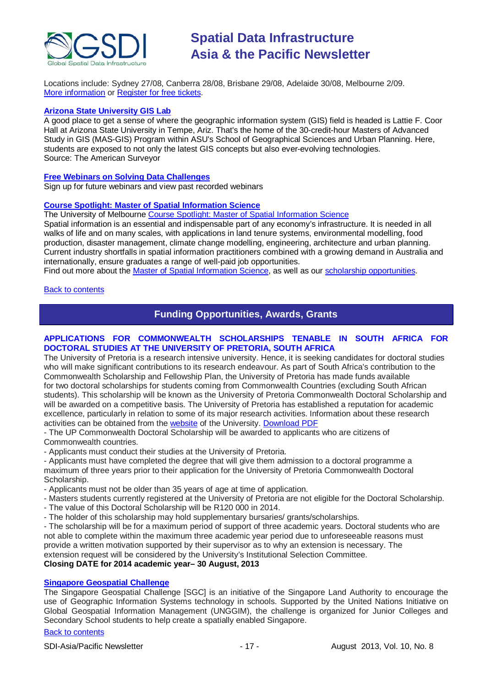

Locations include: Sydney 27/08, Canberra 28/08, Brisbane 29/08, Adelaide 30/08, Melbourne 2/09. [More information](http://au.okfn.org/2013/06/27/rufus-pollock-australia-tour/) or [Register for free tickets.](http://okfn-au.eventbrite.com.au/)

### **[Arizona State University](http://www.amerisurv.com/content/view/11050/153/) GIS Lab**

A good place to get a sense of where the geographic information system (GIS) field is headed is Lattie F. Coor Hall at Arizona State University in Tempe, Ariz. That's the home of the 30-credit-hour Masters of Advanced Study in GIS (MAS-GIS) Program within ASU's School of Geographical Sciences and Urban Planning. Here, students are exposed to not only the latest GIS concepts but also ever-evolving technologies. Source: The American Surveyor

### **[Free Webinars on Solving Data Challenges](http://www.safe.com/learning/webinars/)**

Sign up for future webinars and view past recorded webinars

### **[Course Spotlight: Master of Spatial Information Science](http://themelbourneengineer.eng.unimelb.edu.au/2012/02/course-spotlight-master-of-spatial-information-science/)**

The University of Melbourne [Course Spotlight: Master of Spatial Information Science](http://themelbourneengineer.eng.unimelb.edu.au/2012/02/course-spotlight-master-of-spatial-information-science/)

Spatial information is an essential and indispensable part of any economy's infrastructure. It is needed in all walks of life and on many scales, with applications in land tenure systems, environmental modelling, food production, disaster management, climate change modelling, engineering, architecture and urban planning. Current industry shortfalls in spatial information practitioners combined with a growing demand in Australia and internationally, ensure graduates a range of well-paid job opportunities.

Find out more about the [Master of Spatial Information Science,](http://www.msi.unimelb.edu.au/study/graduate/master-of-spatial-information-science/) as well as our [scholarship opportunities.](http://www.eng.unimelb.edu.au/study/graduate/scholarships.html)

### <span id="page-16-0"></span>[Back to contents](#page-0-0)

### **Funding Opportunities, Awards, Grants**

### **APPLICATIONS FOR COMMONWEALTH SCHOLARSHIPS TENABLE IN SOUTH AFRICA FOR DOCTORAL STUDIES AT THE UNIVERSITY OF PRETORIA, SOUTH AFRICA**

The University of Pretoria is a research intensive university. Hence, it is seeking candidates for doctoral studies who will make significant contributions to its research endeavour. As part of South Africa's contribution to the Commonwealth Scholarship and Fellowship Plan, the University of Pretoria has made funds available for two doctoral scholarships for students coming from Commonwealth Countries (excluding South African students). This scholarship will be known as the University of Pretoria Commonwealth Doctoral Scholarship and will be awarded on a competitive basis. The University of Pretoria has established a reputation for academic excellence, particularly in relation to some of its major research activities. Information about these research activities can be obtained from the [website](http://web.up.ac.za/default.asp?ipkCategoryID=1630) of the University. [Download PDF](http://lists.osgeo.org/pipermail/africa/attachments/20130530/0bafb5b6/attachment-0001.pdf)

- The UP Commonwealth Doctoral Scholarship will be awarded to applicants who are citizens of Commonwealth countries.

- Applicants must conduct their studies at the University of Pretoria.

- Applicants must have completed the degree that will give them admission to a doctoral programme a maximum of three years prior to their application for the University of Pretoria Commonwealth Doctoral Scholarship.

- Applicants must not be older than 35 years of age at time of application.
- Masters students currently registered at the University of Pretoria are not eligible for the Doctoral Scholarship.
- The value of this Doctoral Scholarship will be R120 000 in 2014.
- The holder of this scholarship may hold supplementary bursaries/ grants/scholarships.

- The scholarship will be for a maximum period of support of three academic years. Doctoral students who are not able to complete within the maximum three academic year period due to unforeseeable reasons must provide a written motivation supported by their supervisor as to why an extension is necessary. The extension request will be considered by the University's Institutional Selection Committee. **Closing DATE for 2014 academic year– 30 August, 2013**

# **[Singapore Geospatial Challenge](http://sgeospatial.weebly.com/sgwhat.html)**

The Singapore Geospatial Challenge [SGC] is an initiative of the Singapore Land Authority to encourage the use of Geographic Information Systems technology in schools. Supported by the United Nations Initiative on Global Geospatial Information Management (UNGGIM), the challenge is organized for Junior Colleges and Secondary School students to help create a spatially enabled Singapore.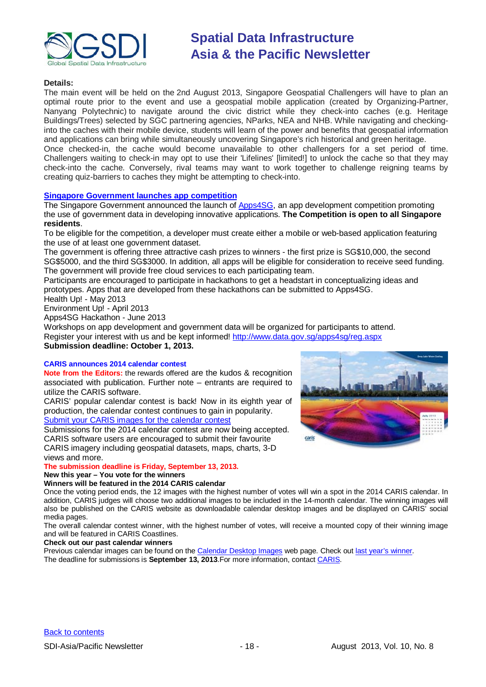

### **Details:**

The main event will be held on the 2nd August 2013, Singapore Geospatial Challengers will have to plan an optimal route prior to the event and use a geospatial mobile application (created by Organizing-Partner, Nanyang Polytechnic) to navigate around the civic district while they check-into caches (e.g. Heritage Buildings/Trees) selected by SGC partnering agencies, NParks, NEA and NHB. While navigating and checkinginto the caches with their mobile device, students will learn of the power and benefits that geospatial information and applications can bring while simultaneously uncovering Singapore's rich historical and green heritage. Once checked-in, the cache would become unavailable to other challengers for a set period of time. Challengers waiting to check-in may opt to use their 'Lifelines' [limited!] to unlock the cache so that they may check-into the cache. Conversely, rival teams may want to work together to challenge reigning teams by creating quiz-barriers to caches they might be attempting to check-into.

### **[Singapore Government launches app competition](http://www.futuregov.asia/articles/2013/apr/03/singapore-government-launches-app-competition/)**

The Singapore Government announced the launch of **Apps4SG**, an app development competition promoting the use of government data in developing innovative applications. **The Competition is open to all Singapore residents**.

To be eligible for the competition, a developer must create either a mobile or web-based application featuring the use of at least one government dataset.

The government is offering three attractive cash prizes to winners - the first prize is SG\$10,000, the second SG\$5000, and the third SG\$3000. In addition, all apps will be eligible for consideration to receive seed funding. The government will provide free cloud services to each participating team.

Participants are encouraged to participate in hackathons to get a headstart in conceptualizing ideas and prototypes. Apps that are developed from these hackathons can be submitted to Apps4SG.

### Health Up! - May 2013

Environment Up! - April 2013

Apps4SG Hackathon - June 2013

Workshops on app development and government data will be organized for participants to attend. Register your interest with us and be kept informed! [http://www.data.gov.sg/apps4sg/reg.aspx](https://owa.unimelb.edu.au/owa/redir.aspx?C=SzHNAl626ki9PiQZsK0eOSMT6H7CBtAI1q5ZvdwYeK6fo1dS_t5_M86QLVJxctM5SbXJkOBBAIY.&URL=http%3a%2f%2fwww.data.gov.sg%2fapps4sg%2freg.aspx) **Submission deadline: October 1, 2013.**

#### **CARIS announces 2014 calendar contest**

**Note from the Editors:** the rewards offered are the kudos & recognition associated with publication. Further note – entrants are required to utilize the CARIS software.

CARIS' popular calendar contest is back! Now in its eighth year of production, the calendar contest continues to gain in popularity. [Submit your CARIS images for the calendar contest](http://www.caris.com/calendar/contest14/)

Submissions for the 2014 calendar contest are now being accepted. CARIS software users are encouraged to submit their favourite CARIS imagery including geospatial datasets, maps, charts, 3-D

views and more. **The submission deadline is Friday, September 13, 2013.**

### **New this year – You vote for the winners**

#### **Winners will be featured in the 2014 CARIS calendar**

Once the voting period ends, the 12 images with the highest number of votes will win a spot in the 2014 CARIS calendar. In addition, CARIS judges will choose two additional images to be included in the 14-month calendar. The winning images will also be published on the CARIS website as downloadable calendar desktop images and be displayed on CARIS' social media pages.

The overall calendar contest winner, with the highest number of votes, will receive a mounted copy of their winning image and will be featured in CARIS Coastlines.

#### **Check out our past calendar winners**

Previous calendar images can be found on the [Calendar Desktop Images](http://www.caris.com/calendar/contest13/index.cfm) web page. Check ou[t last year's winner.](http://www.caris.com/news/story.cfm?ID=279) The deadline for submissions is **September 13, 2013**.For more information, contact [CARIS.](mailto:info@caris.com)

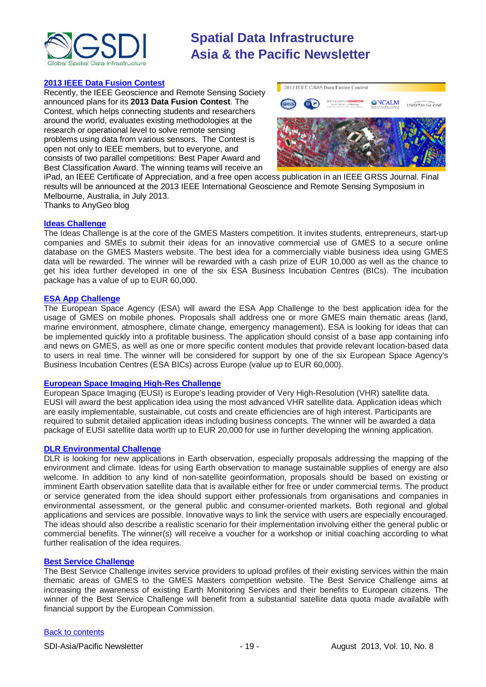

### **[2013 IEEE Data Fusion Contest](http://www.grss-ieee.org/community/technical-committees/data-fusion/data-fusion-contest/)**

Recently, the IEEE Geoscience and Remote Sensing Society announced plans for its **2013 Data Fusion Contest**. The Contest, which helps connecting students and researchers around the world, evaluates existing methodologies at the research or operational level to solve remote sensing problems using data from various sensors. The Contest is open not only to IEEE members, but to everyone, and consists of two parallel competitions: Best Paper Award and Best Classification Award. The winning teams will receive an



iPad, an IEEE Certificate of Appreciation, and a free open access publication in an IEEE GRSS Journal. Final results will be announced at the 2013 IEEE International Geoscience and Remote Sensing Symposium in Melbourne, Australia, in July 2013.

Thanks to AnyGeo blog

### **[Ideas Challenge](http://www.gmes-masters.com/ideas-challenge)**

The Ideas Challenge is at the core of the GMES Masters competition. It invites students, entrepreneurs, start-up companies and SMEs to submit their ideas for an innovative commercial use of GMES to a secure online database on the GMES Masters website. The best idea for a commercially viable business idea using GMES data will be rewarded. The winner will be rewarded with a cash prize of EUR 10,000 as well as the chance to get his idea further developed in one of the six ESA Business Incubation Centres (BICs). The incubation package has a value of up to EUR 60,000.

### **[ESA App Challenge](http://www.gmes-masters.com/esa-app-challenge)**

The European Space Agency (ESA) will award the ESA App Challenge to the best application idea for the usage of GMES on mobile phones. Proposals shall address one or more GMES main thematic areas (land, marine environment, atmosphere, climate change, emergency management). ESA is looking for ideas that can be implemented quickly into a profitable business. The application should consist of a base app containing info and news on GMES, as well as one or more specific content modules that provide relevant location-based data to users in real time. The winner will be considered for support by one of the six European Space Agency's Business Incubation Centres (ESA BICs) across Europe (value up to EUR 60,000).

### **[European Space Imaging High-Res Challenge](http://www.gmes-masters.com/european-space-0)**

European Space Imaging (EUSI) is Europe's leading provider of Very High-Resolution (VHR) satellite data. EUSI will award the best application idea using the most advanced VHR satellite data. Application ideas which are easily implementable, sustainable, cut costs and create efficiencies are of high interest. Participants are required to submit detailed application ideas including business concepts. The winner will be awarded a data package of EUSI satellite data worth up to EUR 20,000 for use in further developing the winning application.

### **[DLR Environmental Challenge](http://www.gmes-masters.com/dlr-environmental)**

DLR is looking for new applications in Earth observation, especially proposals addressing the mapping of the environment and climate. Ideas for using Earth observation to manage sustainable supplies of energy are also welcome. In addition to any kind of non-satellite geoinformation, proposals should be based on existing or imminent Earth observation satellite data that is available either for free or under commercial terms. The product or service generated from the idea should support either professionals from organisations and companies in environmental assessment, or the general public and consumer-oriented markets. Both regional and global applications and services are possible. Innovative ways to link the service with users are especially encouraged. The ideas should also describe a realistic scenario for their implementation involving either the general public or commercial benefits. The winner(s) will receive a voucher for a workshop or initial coaching according to what further realisation of the idea requires.

### **[Best Service Challenge](http://www.gmes-masters.com/best-service)**

The Best Service Challenge invites service providers to upload profiles of their existing services within the main thematic areas of GMES to the GMES Masters competition website. The Best Service Challenge aims at increasing the awareness of existing Earth Monitoring Services and their benefits to European citizens. The winner of the Best Service Challenge will benefit from a substantial satellite data quota made available with financial support by the European Commission.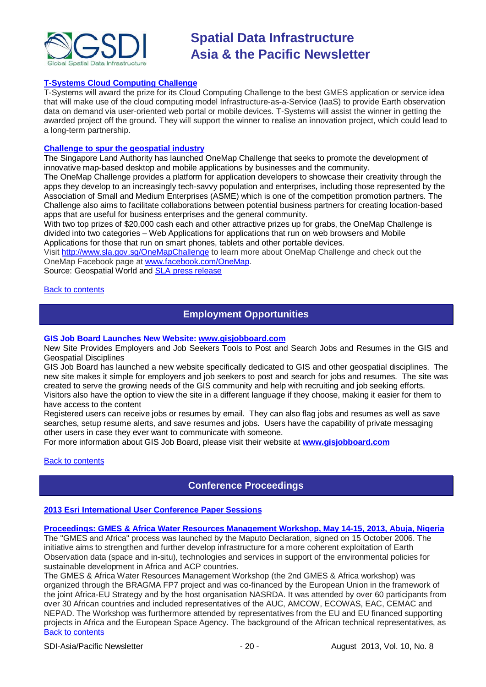

### **[T-Systems Cloud Computing Challenge](http://www.gmes-masters.com/t-systems-cloud)**

T-Systems will award the prize for its Cloud Computing Challenge to the best GMES application or service idea that will make use of the cloud computing model Infrastructure-as-a-Service (IaaS) to provide Earth observation data on demand via user-oriented web portal or mobile devices. T-Systems will assist the winner in getting the awarded project off the ground. They will support the winner to realise an innovation project, which could lead to a long-term partnership.

#### **[Challenge to spur the geospatial industry](http://geospatialworld.net/index.php?option=com_content&view=article&id=23850:challenge-to-spur-the-geospatial-industry&catid=75:miscellaneous-events)**

The Singapore Land Authority has launched OneMap Challenge that seeks to promote the development of innovative map-based desktop and mobile applications by businesses and the community.

The OneMap Challenge provides a platform for application developers to showcase their creativity through the apps they develop to an increasingly tech-savvy population and enterprises, including those represented by the Association of Small and Medium Enterprises (ASME) which is one of the competition promotion partners. The Challenge also aims to facilitate collaborations between potential business partners for creating location-based apps that are useful for business enterprises and the general community.

With two top prizes of \$20,000 cash each and other attractive prizes up for grabs, the OneMap Challenge is divided into two categories – Web Applications for applications that run on web browsers and Mobile Applications for those that run on smart phones, tablets and other portable devices.

Visit <http://www.sla.gov.sg/OneMapChallenge> to learn more about OneMap Challenge and check out the OneMap Facebook page at [www.facebook.com/OneMap.](http://www.facebook.com/OneMap)

Source: Geospatial World and [SLA press release](http://www.sla.gov.sg/htm/new/new2012/new0401.htm)

#### <span id="page-19-0"></span>[Back to contents](#page-0-0)

### **Employment Opportunities**

### **GIS Job Board Launches New Website: [www.gisjobboard.com](http://www.gisjobboard.com/)**

New Site Provides Employers and Job Seekers Tools to Post and Search Jobs and Resumes in the GIS and Geospatial Disciplines

GIS Job Board has launched a new website specifically dedicated to GIS and other geospatial disciplines. The new site makes it simple for employers and job seekers to post and search for jobs and resumes. The site was created to serve the growing needs of the GIS community and help with recruiting and job seeking efforts. Visitors also have the option to view the site in a different language if they choose, making it easier for them to have access to the content

Registered users can receive jobs or resumes by email. They can also flag jobs and resumes as well as save searches, setup resume alerts, and save resumes and jobs. Users have the capability of private messaging other users in case they ever want to communicate with someone.

For more information about GIS Job Board, please visit their website at **[www.gisjobboard.com](http://www.gisjobboard.com/)**

### <span id="page-19-1"></span>[Back to contents](#page-0-0)

### **Conference Proceedings**

### **[2013 Esri International User Conference Paper Sessions](http://proceedings.esri.com/library/userconf/proc13/index.html)**

### **[Proceedings: GMES & Africa Water Resources Management Workshop, May 14-15, 2013, Abuja, Nigeria](http://capacity4dev.ec.europa.eu/africa-eu-part.gmes/minisite/water-resources-management-workshop-14-15-may-2013-abuja-nigeria)**

The "GMES and Africa" process was launched by the Maputo Declaration, signed on 15 October 2006. The initiative aims to strengthen and further develop infrastructure for a more coherent exploitation of Earth Observation data (space and in-situ), technologies and services in support of the environmental policies for sustainable development in Africa and ACP countries.

[Back to contents](#page-0-0) The GMES & Africa Water Resources Management Workshop (the 2nd GMES & Africa workshop) was organized through the BRAGMA FP7 project and was co-financed by the European Union in the framework of the joint Africa-EU Strategy and by the host organisation NASRDA. It was attended by over 60 participants from over 30 African countries and included representatives of the AUC, AMCOW, ECOWAS, EAC, CEMAC and NEPAD. The Workshop was furthermore attended by representatives from the EU and EU financed supporting projects in Africa and the European Space Agency. The background of the African technical representatives, as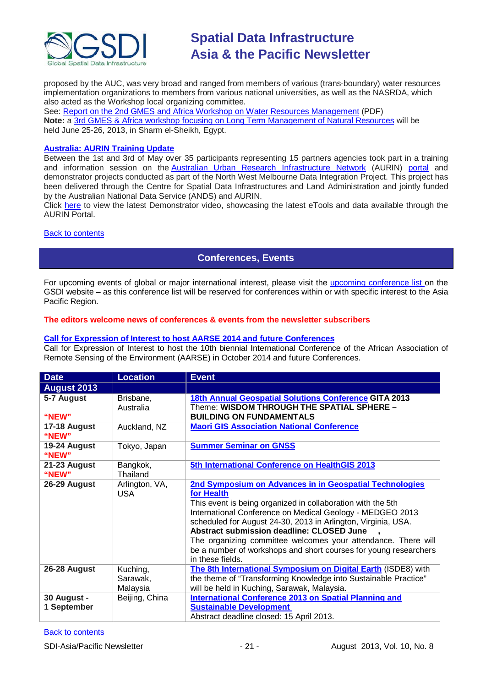

proposed by the AUC, was very broad and ranged from members of various (trans-boundary) water resources implementation organizations to members from various national universities, as well as the NASRDA, which also acted as the Workshop local organizing committee.

See: [Report on the 2nd GMES and Africa Workshop on Water Resources Management](http://capacity4dev.ec.europa.eu/sites/default/files/file/23/05/2013_-_1210/report_on_the_2nd_gmes_and_africa_workshop_on_wrm.pdf) (PDF) **Note:** a 3rd [GMES & Africa workshop focusing on Long Term Management of Natural Resources](http://capacity4dev.ec.europa.eu/africa-eu-part.gmes/minisite/3-long-term-management-natural-resources-workshop) will be held June 25-26, 2013, in Sharm el-Sheikh, Egypt.

### **[Australia: AURIN Training Update](http://blogs.unimelb.edu.au/aurinands/2013/05/13/aurin-training-update/)**

Between the 1st and 3rd of May over 35 participants representing 15 partners agencies took part in a training and information session on the [Australian Urban Research Infrastructure Network](http://aurin.org.au/) (AURIN) [portal](https://apps.aurin.org.au/gate/index.html) and demonstrator projects conducted as part of the North West Melbourne Data Integration Project. This project has been delivered through the Centre for Spatial Data Infrastructures and Land Administration and jointly funded by the Australian National Data Service (ANDS) and AURIN.

Click [here](http://vimeo.com/62744887) to view the latest Demonstrator video, showcasing the latest eTools and data available through the AURIN Portal.

### <span id="page-20-0"></span>[Back to contents](#page-0-0)

### **Conferences, Events**

For upcoming events of global or major international interest, please visit the [upcoming conference list o](http://gsdi.org/events/upcnf.asp)n the GSDI website – as this conference list will be reserved for conferences within or with specific interest to the Asia Pacific Region.

### **The editors welcome news of conferences & events from the newsletter subscribers**

### **[Call for Expression of Interest to host AARSE 2014 and future Conferences](http://lists.gsdi.org/pipermail/sdi-africa/2010-November/001135.html)**

Call for Expression of Interest to host the 10th biennial International Conference of the African Association of Remote Sensing of the Environment (AARSE) in October 2014 and future Conferences.

| <b>Date</b>                | <b>Location</b>                  | <b>Event</b>                                                                                                                                                                                                                                                                                                                                                                                                                                                             |
|----------------------------|----------------------------------|--------------------------------------------------------------------------------------------------------------------------------------------------------------------------------------------------------------------------------------------------------------------------------------------------------------------------------------------------------------------------------------------------------------------------------------------------------------------------|
| <b>August 2013</b>         |                                  |                                                                                                                                                                                                                                                                                                                                                                                                                                                                          |
| 5-7 August<br>"NEW"        | Brisbane,<br>Australia           | 18th Annual Geospatial Solutions Conference GITA 2013<br>Theme: WISDOM THROUGH THE SPATIAL SPHERE -<br><b>BUILDING ON FUNDAMENTALS</b>                                                                                                                                                                                                                                                                                                                                   |
| 17-18 August<br>"NEW"      | Auckland, NZ                     | <b>Maori GIS Association National Conference</b>                                                                                                                                                                                                                                                                                                                                                                                                                         |
| 19-24 August<br>"NEW"      | Tokyo, Japan                     | <b>Summer Seminar on GNSS</b>                                                                                                                                                                                                                                                                                                                                                                                                                                            |
| 21-23 August<br>"NEW"      | Bangkok,<br>Thailand             | 5th International Conference on HealthGIS 2013                                                                                                                                                                                                                                                                                                                                                                                                                           |
| 26-29 August               | Arlington, VA,<br>USA.           | 2nd Symposium on Advances in in Geospatial Technologies<br>for Health<br>This event is being organized in collaboration with the 5th<br>International Conference on Medical Geology - MEDGEO 2013<br>scheduled for August 24-30, 2013 in Arlington, Virginia, USA.<br>Abstract submission deadline: CLOSED June<br>The organizing committee welcomes your attendance. There will<br>be a number of workshops and short courses for young researchers<br>in these fields. |
| 26-28 August               | Kuching,<br>Sarawak,<br>Malaysia | The 8th International Symposium on Digital Earth (ISDE8) with<br>the theme of "Transforming Knowledge into Sustainable Practice"<br>will be held in Kuching, Sarawak, Malaysia.                                                                                                                                                                                                                                                                                          |
| 30 August -<br>1 September | Beijing, China                   | <b>International Conference 2013 on Spatial Planning and</b><br><b>Sustainable Development</b><br>Abstract deadline closed: 15 April 2013.                                                                                                                                                                                                                                                                                                                               |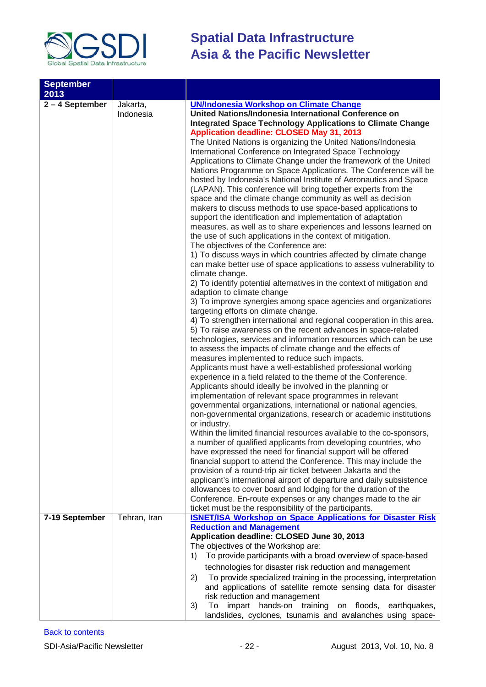

| <b>September</b><br>2013<br>$2 - 4$ September | Jakarta,<br>Indonesia | <b>UN/Indonesia Workshop on Climate Change</b><br>United Nations/Indonesia International Conference on<br><b>Integrated Space Technology Applications to Climate Change</b><br>Application deadline: CLOSED May 31, 2013<br>The United Nations is organizing the United Nations/Indonesia<br>International Conference on Integrated Space Technology<br>Applications to Climate Change under the framework of the United<br>Nations Programme on Space Applications. The Conference will be<br>hosted by Indonesia's National Institute of Aeronautics and Space<br>(LAPAN). This conference will bring together experts from the<br>space and the climate change community as well as decision<br>makers to discuss methods to use space-based applications to<br>support the identification and implementation of adaptation<br>measures, as well as to share experiences and lessons learned on<br>the use of such applications in the context of mitigation.<br>The objectives of the Conference are:<br>1) To discuss ways in which countries affected by climate change<br>can make better use of space applications to assess vulnerability to<br>climate change.<br>2) To identify potential alternatives in the context of mitigation and<br>adaption to climate change<br>3) To improve synergies among space agencies and organizations<br>targeting efforts on climate change.<br>4) To strengthen international and regional cooperation in this area.<br>5) To raise awareness on the recent advances in space-related<br>technologies, services and information resources which can be use<br>to assess the impacts of climate change and the effects of<br>measures implemented to reduce such impacts.<br>Applicants must have a well-established professional working<br>experience in a field related to the theme of the Conference.<br>Applicants should ideally be involved in the planning or<br>implementation of relevant space programmes in relevant<br>governmental organizations, international or national agencies,<br>non-governmental organizations, research or academic institutions<br>or industry.<br>Within the limited financial resources available to the co-sponsors,<br>a number of qualified applicants from developing countries, who |
|-----------------------------------------------|-----------------------|------------------------------------------------------------------------------------------------------------------------------------------------------------------------------------------------------------------------------------------------------------------------------------------------------------------------------------------------------------------------------------------------------------------------------------------------------------------------------------------------------------------------------------------------------------------------------------------------------------------------------------------------------------------------------------------------------------------------------------------------------------------------------------------------------------------------------------------------------------------------------------------------------------------------------------------------------------------------------------------------------------------------------------------------------------------------------------------------------------------------------------------------------------------------------------------------------------------------------------------------------------------------------------------------------------------------------------------------------------------------------------------------------------------------------------------------------------------------------------------------------------------------------------------------------------------------------------------------------------------------------------------------------------------------------------------------------------------------------------------------------------------------------------------------------------------------------------------------------------------------------------------------------------------------------------------------------------------------------------------------------------------------------------------------------------------------------------------------------------------------------------------------------------------------------------------------------------------------------------------------------------------------------------|
|                                               |                       | have expressed the need for financial support will be offered<br>financial support to attend the Conference. This may include the<br>provision of a round-trip air ticket between Jakarta and the<br>applicant's international airport of departure and daily subsistence<br>allowances to cover board and lodging for the duration of the<br>Conference. En-route expenses or any changes made to the air                                                                                                                                                                                                                                                                                                                                                                                                                                                                                                                                                                                                                                                                                                                                                                                                                                                                                                                                                                                                                                                                                                                                                                                                                                                                                                                                                                                                                                                                                                                                                                                                                                                                                                                                                                                                                                                                         |
|                                               |                       | ticket must be the responsibility of the participants.                                                                                                                                                                                                                                                                                                                                                                                                                                                                                                                                                                                                                                                                                                                                                                                                                                                                                                                                                                                                                                                                                                                                                                                                                                                                                                                                                                                                                                                                                                                                                                                                                                                                                                                                                                                                                                                                                                                                                                                                                                                                                                                                                                                                                             |
| 7-19 September                                | Tehran, Iran          | <b>ISNET/ISA Workshop on Space Applications for Disaster Risk</b>                                                                                                                                                                                                                                                                                                                                                                                                                                                                                                                                                                                                                                                                                                                                                                                                                                                                                                                                                                                                                                                                                                                                                                                                                                                                                                                                                                                                                                                                                                                                                                                                                                                                                                                                                                                                                                                                                                                                                                                                                                                                                                                                                                                                                  |
|                                               |                       | <b>Reduction and Management</b><br>Application deadline: CLOSED June 30, 2013<br>The objectives of the Workshop are:<br>To provide participants with a broad overview of space-based<br>1)<br>technologies for disaster risk reduction and management<br>To provide specialized training in the processing, interpretation<br>2)<br>and applications of satellite remote sensing data for disaster<br>risk reduction and management<br>impart hands-on training<br>on floods, earthquakes,<br>3)<br>To                                                                                                                                                                                                                                                                                                                                                                                                                                                                                                                                                                                                                                                                                                                                                                                                                                                                                                                                                                                                                                                                                                                                                                                                                                                                                                                                                                                                                                                                                                                                                                                                                                                                                                                                                                             |
|                                               |                       | landslides, cyclones, tsunamis and avalanches using space-                                                                                                                                                                                                                                                                                                                                                                                                                                                                                                                                                                                                                                                                                                                                                                                                                                                                                                                                                                                                                                                                                                                                                                                                                                                                                                                                                                                                                                                                                                                                                                                                                                                                                                                                                                                                                                                                                                                                                                                                                                                                                                                                                                                                                         |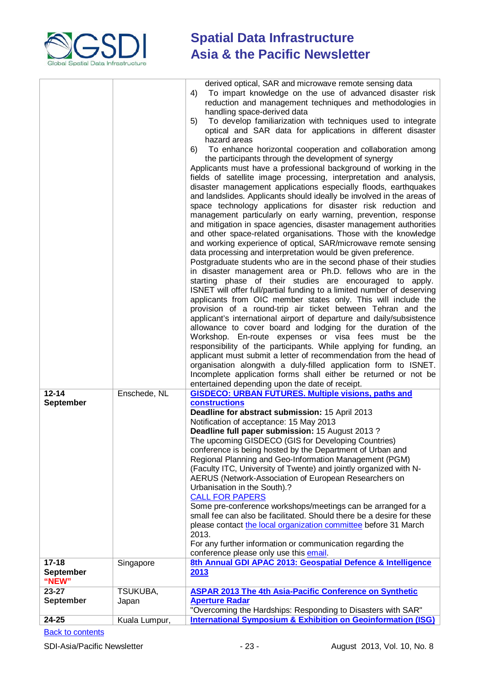

| $12 - 14$<br><b>September</b> | Enschede, NL  | derived optical, SAR and microwave remote sensing data<br>To impart knowledge on the use of advanced disaster risk<br>4)<br>reduction and management techniques and methodologies in<br>handling space-derived data<br>To develop familiarization with techniques used to integrate<br>5)<br>optical and SAR data for applications in different disaster<br>hazard areas<br>To enhance horizontal cooperation and collaboration among<br>6)<br>the participants through the development of synergy<br>Applicants must have a professional background of working in the<br>fields of satellite image processing, interpretation and analysis,<br>disaster management applications especially floods, earthquakes<br>and landslides. Applicants should ideally be involved in the areas of<br>space technology applications for disaster risk reduction and<br>management particularly on early warning, prevention, response<br>and mitigation in space agencies, disaster management authorities<br>and other space-related organisations. Those with the knowledge<br>and working experience of optical, SAR/microwave remote sensing<br>data processing and interpretation would be given preference.<br>Postgraduate students who are in the second phase of their studies<br>in disaster management area or Ph.D. fellows who are in the<br>starting phase of their studies are encouraged to apply.<br>ISNET will offer full/partial funding to a limited number of deserving<br>applicants from OIC member states only. This will include the<br>provision of a round-trip air ticket between Tehran and the<br>applicant's international airport of departure and daily/subsistence<br>allowance to cover board and lodging for the duration of the<br>Workshop. En-route expenses or visa fees must be the<br>responsibility of the participants. While applying for funding, an<br>applicant must submit a letter of recommendation from the head of<br>organisation alongwith a duly-filled application form to ISNET.<br>Incomplete application forms shall either be returned or not be<br>entertained depending upon the date of receipt.<br><b>GISDECO: URBAN FUTURES. Multiple visions, paths and</b><br>constructions<br>Deadline for abstract submission: 15 April 2013<br>Notification of acceptance: 15 May 2013<br>Deadline full paper submission: 15 August 2013?<br>The upcoming GISDECO (GIS for Developing Countries)<br>conference is being hosted by the Department of Urban and<br>Regional Planning and Geo-Information Management (PGM)<br>(Faculty ITC, University of Twente) and jointly organized with N-<br>AERUS (Network-Association of European Researchers on<br>Urbanisation in the South).?<br><b>CALL FOR PAPERS</b><br>Some pre-conference workshops/meetings can be arranged for a<br>small fee can also be facilitated. Should there be a desire for these<br>please contact the local organization committee before 31 March |
|-------------------------------|---------------|--------------------------------------------------------------------------------------------------------------------------------------------------------------------------------------------------------------------------------------------------------------------------------------------------------------------------------------------------------------------------------------------------------------------------------------------------------------------------------------------------------------------------------------------------------------------------------------------------------------------------------------------------------------------------------------------------------------------------------------------------------------------------------------------------------------------------------------------------------------------------------------------------------------------------------------------------------------------------------------------------------------------------------------------------------------------------------------------------------------------------------------------------------------------------------------------------------------------------------------------------------------------------------------------------------------------------------------------------------------------------------------------------------------------------------------------------------------------------------------------------------------------------------------------------------------------------------------------------------------------------------------------------------------------------------------------------------------------------------------------------------------------------------------------------------------------------------------------------------------------------------------------------------------------------------------------------------------------------------------------------------------------------------------------------------------------------------------------------------------------------------------------------------------------------------------------------------------------------------------------------------------------------------------------------------------------------------------------------------------------------------------------------------------------------------------------------------------------------------------------------------------------------------------------------------------------------------------------------------------------------------------------------------------------------------------------------------------------------------------------------------------------------------------------------------------------------------------------------------------------------------------------------------------------------------------------------------------------------|
|                               |               | 2013.<br>For any further information or communication regarding the<br>conference please only use this email.                                                                                                                                                                                                                                                                                                                                                                                                                                                                                                                                                                                                                                                                                                                                                                                                                                                                                                                                                                                                                                                                                                                                                                                                                                                                                                                                                                                                                                                                                                                                                                                                                                                                                                                                                                                                                                                                                                                                                                                                                                                                                                                                                                                                                                                                                                                                                                                                                                                                                                                                                                                                                                                                                                                                                                                                                                                            |
| $17 - 18$<br><b>September</b> | Singapore     | 8th Annual GDI APAC 2013: Geospatial Defence & Intelligence<br>2013                                                                                                                                                                                                                                                                                                                                                                                                                                                                                                                                                                                                                                                                                                                                                                                                                                                                                                                                                                                                                                                                                                                                                                                                                                                                                                                                                                                                                                                                                                                                                                                                                                                                                                                                                                                                                                                                                                                                                                                                                                                                                                                                                                                                                                                                                                                                                                                                                                                                                                                                                                                                                                                                                                                                                                                                                                                                                                      |
| "NEW"<br>$23 - 27$            | TSUKUBA,      | <b>ASPAR 2013 The 4th Asia-Pacific Conference on Synthetic</b>                                                                                                                                                                                                                                                                                                                                                                                                                                                                                                                                                                                                                                                                                                                                                                                                                                                                                                                                                                                                                                                                                                                                                                                                                                                                                                                                                                                                                                                                                                                                                                                                                                                                                                                                                                                                                                                                                                                                                                                                                                                                                                                                                                                                                                                                                                                                                                                                                                                                                                                                                                                                                                                                                                                                                                                                                                                                                                           |
| <b>September</b>              | Japan         | <b>Aperture Radar</b><br>"Overcoming the Hardships: Responding to Disasters with SAR"                                                                                                                                                                                                                                                                                                                                                                                                                                                                                                                                                                                                                                                                                                                                                                                                                                                                                                                                                                                                                                                                                                                                                                                                                                                                                                                                                                                                                                                                                                                                                                                                                                                                                                                                                                                                                                                                                                                                                                                                                                                                                                                                                                                                                                                                                                                                                                                                                                                                                                                                                                                                                                                                                                                                                                                                                                                                                    |
| 24-25                         | Kuala Lumpur, | <b>International Symposium &amp; Exhibition on Geoinformation (ISG)</b>                                                                                                                                                                                                                                                                                                                                                                                                                                                                                                                                                                                                                                                                                                                                                                                                                                                                                                                                                                                                                                                                                                                                                                                                                                                                                                                                                                                                                                                                                                                                                                                                                                                                                                                                                                                                                                                                                                                                                                                                                                                                                                                                                                                                                                                                                                                                                                                                                                                                                                                                                                                                                                                                                                                                                                                                                                                                                                  |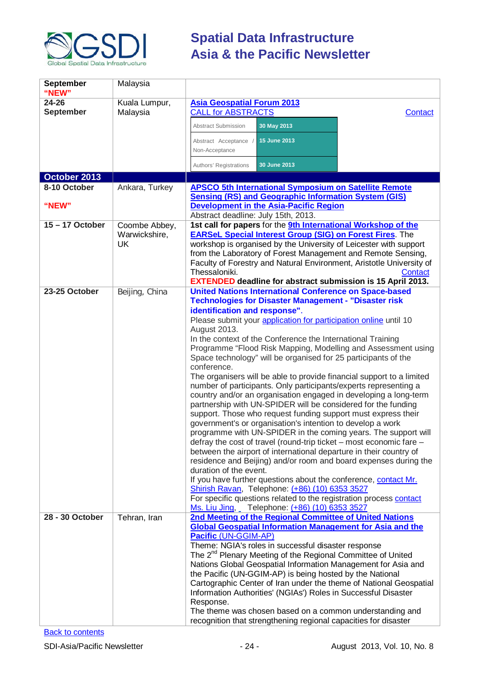

| <b>September</b><br>"NEW" | Malaysia            |                                                                                                                                           |
|---------------------------|---------------------|-------------------------------------------------------------------------------------------------------------------------------------------|
| 24-26                     | Kuala Lumpur,       | <b>Asia Geospatial Forum 2013</b>                                                                                                         |
| <b>September</b>          | Malaysia            | <b>CALL for ABSTRACTS</b><br>Contact                                                                                                      |
|                           |                     | 30 May 2013<br><b>Abstract Submission</b>                                                                                                 |
|                           |                     | Abstract Acceptance<br>15 June 2013<br>Non-Acceptance                                                                                     |
|                           |                     | 30 June 2013<br>Authors' Registrations                                                                                                    |
| October 2013              |                     |                                                                                                                                           |
| 8-10 October              | Ankara, Turkey      | <b>APSCO 5th International Symposium on Satellite Remote</b>                                                                              |
|                           |                     | <b>Sensing (RS) and Geographic Information System (GIS)</b>                                                                               |
| "NEW"                     |                     | <b>Development in the Asia-Pacific Region</b>                                                                                             |
|                           |                     | Abstract deadline: July 15th, 2013.                                                                                                       |
| $15 - 17$ October         | Coombe Abbey,       | 1st call for papers for the 9th International Workshop of the                                                                             |
|                           | Warwickshire,<br>UK | <b>EARSeL Special Interest Group (SIG) on Forest Fires.</b> The<br>workshop is organised by the University of Leicester with support      |
|                           |                     | from the Laboratory of Forest Management and Remote Sensing,                                                                              |
|                           |                     | Faculty of Forestry and Natural Environment, Aristotle University of                                                                      |
|                           |                     | Thessaloniki.<br>Contact                                                                                                                  |
|                           |                     | <b>EXTENDED deadline for abstract submission is 15 April 2013.</b>                                                                        |
| 23-25 October             | Beijing, China      | <b>United Nations International Conference on Space-based</b>                                                                             |
|                           |                     | <b>Technologies for Disaster Management - "Disaster risk</b>                                                                              |
|                           |                     | identification and response".<br>Please submit your application for participation online until 10                                         |
|                           |                     | August 2013.                                                                                                                              |
|                           |                     | In the context of the Conference the International Training                                                                               |
|                           |                     | Programme "Flood Risk Mapping, Modelling and Assessment using                                                                             |
|                           |                     | Space technology" will be organised for 25 participants of the                                                                            |
|                           |                     | conference.                                                                                                                               |
|                           |                     | The organisers will be able to provide financial support to a limited<br>number of participants. Only participants/experts representing a |
|                           |                     | country and/or an organisation engaged in developing a long-term                                                                          |
|                           |                     | partnership with UN-SPIDER will be considered for the funding                                                                             |
|                           |                     | support. Those who request funding support must express their                                                                             |
|                           |                     | government's or organisation's intention to develop a work                                                                                |
|                           |                     | programme with UN-SPIDER in the coming years. The support will<br>defray the cost of travel (round-trip ticket - most economic fare -     |
|                           |                     | between the airport of international departure in their country of                                                                        |
|                           |                     | residence and Beijing) and/or room and board expenses during the                                                                          |
|                           |                     | duration of the event.                                                                                                                    |
|                           |                     | If you have further questions about the conference, contact Mr.                                                                           |
|                           |                     | Shirish Ravan, Telephone: (+86) (10) 6353 3527                                                                                            |
|                           |                     | For specific questions related to the registration process contact<br>Ms. Liu Jing, Telephone: (+86) (10) 6353 3527                       |
| 28 - 30 October           | Tehran, Iran        | 2nd Meeting of the Regional Committee of United Nations                                                                                   |
|                           |                     | <b>Global Geospatial Information Management for Asia and the</b>                                                                          |
|                           |                     | Pacific (UN-GGIM-AP)                                                                                                                      |
|                           |                     | Theme: NGIA's roles in successful disaster response                                                                                       |
|                           |                     | The 2 <sup>nd</sup> Plenary Meeting of the Regional Committee of United<br>Nations Global Geospatial Information Management for Asia and  |
|                           |                     | the Pacific (UN-GGIM-AP) is being hosted by the National                                                                                  |
|                           |                     | Cartographic Center of Iran under the theme of National Geospatial                                                                        |
|                           |                     | Information Authorities' (NGIAs') Roles in Successful Disaster                                                                            |
|                           |                     | Response.                                                                                                                                 |
|                           |                     | The theme was chosen based on a common understanding and<br>recognition that strengthening regional capacities for disaster               |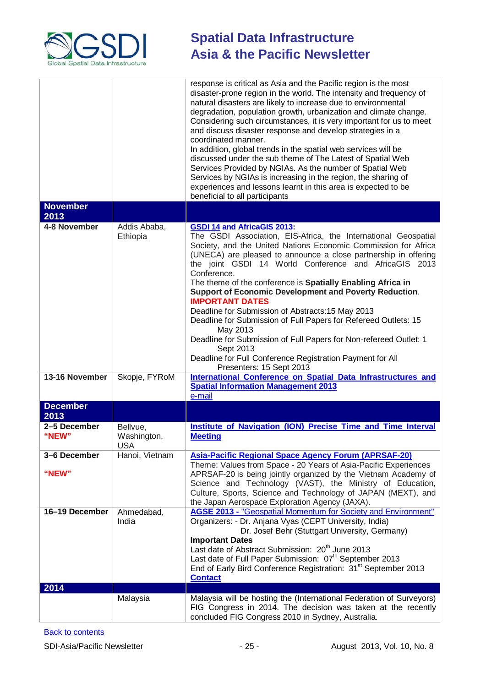

|                         |                                       | response is critical as Asia and the Pacific region is the most<br>disaster-prone region in the world. The intensity and frequency of<br>natural disasters are likely to increase due to environmental<br>degradation, population growth, urbanization and climate change.<br>Considering such circumstances, it is very important for us to meet<br>and discuss disaster response and develop strategies in a<br>coordinated manner.<br>In addition, global trends in the spatial web services will be<br>discussed under the sub theme of The Latest of Spatial Web<br>Services Provided by NGIAs. As the number of Spatial Web<br>Services by NGIAs is increasing in the region, the sharing of<br>experiences and lessons learnt in this area is expected to be<br>beneficial to all participants |
|-------------------------|---------------------------------------|-------------------------------------------------------------------------------------------------------------------------------------------------------------------------------------------------------------------------------------------------------------------------------------------------------------------------------------------------------------------------------------------------------------------------------------------------------------------------------------------------------------------------------------------------------------------------------------------------------------------------------------------------------------------------------------------------------------------------------------------------------------------------------------------------------|
| <b>November</b><br>2013 |                                       |                                                                                                                                                                                                                                                                                                                                                                                                                                                                                                                                                                                                                                                                                                                                                                                                       |
| 4-8 November            | Addis Ababa,<br>Ethiopia              | <b>GSDI 14 and AfricaGIS 2013:</b><br>The GSDI Association, EIS-Africa, the International Geospatial<br>Society, and the United Nations Economic Commission for Africa<br>(UNECA) are pleased to announce a close partnership in offering<br>the joint GSDI 14 World Conference and AfricaGIS 2013<br>Conference.<br>The theme of the conference is Spatially Enabling Africa in<br>Support of Economic Development and Poverty Reduction.<br><b>IMPORTANT DATES</b><br>Deadline for Submission of Abstracts: 15 May 2013<br>Deadline for Submission of Full Papers for Refereed Outlets: 15<br>May 2013<br>Deadline for Submission of Full Papers for Non-refereed Outlet: 1<br>Sept 2013<br>Deadline for Full Conference Registration Payment for All<br>Presenters: 15 Sept 2013                   |
| 13-16 November          | Skopje, FYRoM                         | International Conference on Spatial Data Infrastructures and<br><b>Spatial Information Management 2013</b><br>e-mail                                                                                                                                                                                                                                                                                                                                                                                                                                                                                                                                                                                                                                                                                  |
| <b>December</b><br>2013 |                                       |                                                                                                                                                                                                                                                                                                                                                                                                                                                                                                                                                                                                                                                                                                                                                                                                       |
| 2-5 December<br>"NEW"   | Bellvue,<br>Washington,<br><b>USA</b> | <b>Institute of Navigation (ION) Precise Time and Time Interval</b><br><b>Meeting</b>                                                                                                                                                                                                                                                                                                                                                                                                                                                                                                                                                                                                                                                                                                                 |
| 3-6 December<br>"NEW"   | Hanoi, Vietnam                        | <b>Asia-Pacific Regional Space Agency Forum (APRSAF-20)</b><br>Theme: Values from Space - 20 Years of Asia-Pacific Experiences<br>APRSAF-20 is being jointly organized by the Vietnam Academy of<br>Science and Technology (VAST), the Ministry of Education,<br>Culture, Sports, Science and Technology of JAPAN (MEXT), and<br>the Japan Aerospace Exploration Agency (JAXA).                                                                                                                                                                                                                                                                                                                                                                                                                       |
| 16-19 December<br>2014  | Ahmedabad,<br>India                   | AGSE 2013 - "Geospatial Momentum for Society and Environment"<br>Organizers: - Dr. Anjana Vyas (CEPT University, India)<br>Dr. Josef Behr (Stuttgart University, Germany)<br><b>Important Dates</b><br>Last date of Abstract Submission: 20 <sup>th</sup> June 2013<br>Last date of Full Paper Submission: 07 <sup>th</sup> September 2013<br>End of Early Bird Conference Registration: 31 <sup>st</sup> September 2013<br><b>Contact</b>                                                                                                                                                                                                                                                                                                                                                            |
|                         | Malaysia                              | Malaysia will be hosting the (International Federation of Surveyors)<br>FIG Congress in 2014. The decision was taken at the recently<br>concluded FIG Congress 2010 in Sydney, Australia.                                                                                                                                                                                                                                                                                                                                                                                                                                                                                                                                                                                                             |